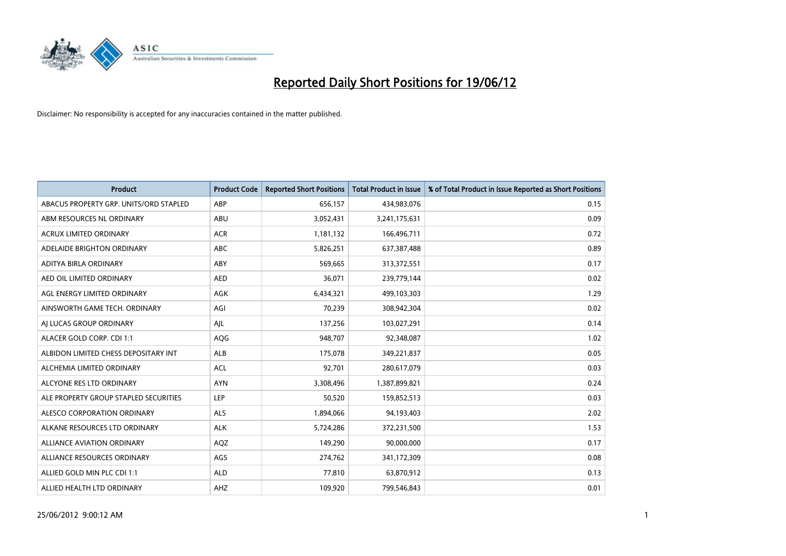

| <b>Product</b>                         | <b>Product Code</b> | <b>Reported Short Positions</b> | <b>Total Product in Issue</b> | % of Total Product in Issue Reported as Short Positions |
|----------------------------------------|---------------------|---------------------------------|-------------------------------|---------------------------------------------------------|
| ABACUS PROPERTY GRP. UNITS/ORD STAPLED | ABP                 | 656,157                         | 434,983,076                   | 0.15                                                    |
| ABM RESOURCES NL ORDINARY              | ABU                 | 3,052,431                       | 3,241,175,631                 | 0.09                                                    |
| <b>ACRUX LIMITED ORDINARY</b>          | <b>ACR</b>          | 1,181,132                       | 166,496,711                   | 0.72                                                    |
| ADELAIDE BRIGHTON ORDINARY             | <b>ABC</b>          | 5,826,251                       | 637,387,488                   | 0.89                                                    |
| ADITYA BIRLA ORDINARY                  | ABY                 | 569,665                         | 313,372,551                   | 0.17                                                    |
| AED OIL LIMITED ORDINARY               | <b>AED</b>          | 36,071                          | 239,779,144                   | 0.02                                                    |
| AGL ENERGY LIMITED ORDINARY            | AGK                 | 6,434,321                       | 499,103,303                   | 1.29                                                    |
| AINSWORTH GAME TECH. ORDINARY          | AGI                 | 70,239                          | 308,942,304                   | 0.02                                                    |
| AI LUCAS GROUP ORDINARY                | AJL                 | 137,256                         | 103,027,291                   | 0.14                                                    |
| ALACER GOLD CORP. CDI 1:1              | AQG                 | 948,707                         | 92,348,087                    | 1.02                                                    |
| ALBIDON LIMITED CHESS DEPOSITARY INT   | ALB                 | 175,078                         | 349,221,837                   | 0.05                                                    |
| ALCHEMIA LIMITED ORDINARY              | <b>ACL</b>          | 92,701                          | 280,617,079                   | 0.03                                                    |
| ALCYONE RES LTD ORDINARY               | <b>AYN</b>          | 3,308,496                       | 1,387,899,821                 | 0.24                                                    |
| ALE PROPERTY GROUP STAPLED SECURITIES  | LEP                 | 50,520                          | 159,852,513                   | 0.03                                                    |
| ALESCO CORPORATION ORDINARY            | <b>ALS</b>          | 1,894,066                       | 94,193,403                    | 2.02                                                    |
| ALKANE RESOURCES LTD ORDINARY          | <b>ALK</b>          | 5,724,286                       | 372,231,500                   | 1.53                                                    |
| ALLIANCE AVIATION ORDINARY             | AQZ                 | 149,290                         | 90,000,000                    | 0.17                                                    |
| ALLIANCE RESOURCES ORDINARY            | AGS                 | 274,762                         | 341,172,309                   | 0.08                                                    |
| ALLIED GOLD MIN PLC CDI 1:1            | <b>ALD</b>          | 77,810                          | 63,870,912                    | 0.13                                                    |
| ALLIED HEALTH LTD ORDINARY             | AHZ                 | 109,920                         | 799,546,843                   | 0.01                                                    |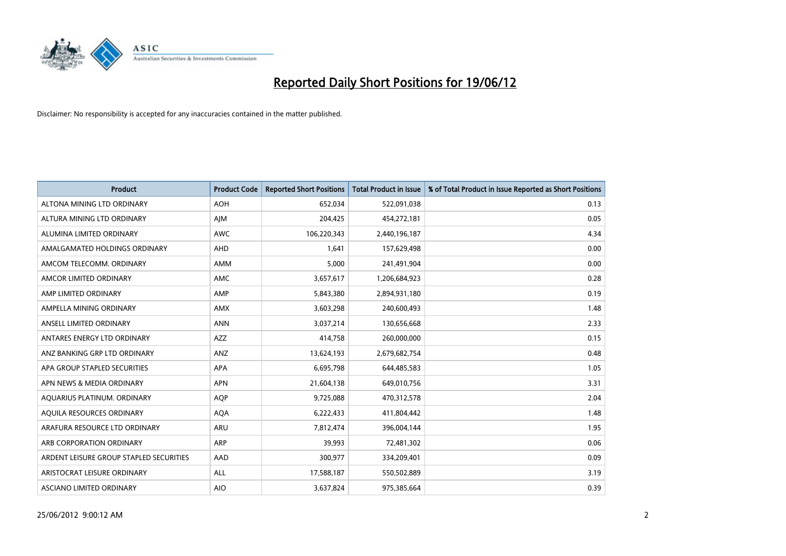

| <b>Product</b>                          | <b>Product Code</b> | <b>Reported Short Positions</b> | <b>Total Product in Issue</b> | % of Total Product in Issue Reported as Short Positions |
|-----------------------------------------|---------------------|---------------------------------|-------------------------------|---------------------------------------------------------|
| ALTONA MINING LTD ORDINARY              | <b>AOH</b>          | 652,034                         | 522,091,038                   | 0.13                                                    |
| ALTURA MINING LTD ORDINARY              | AJM                 | 204,425                         | 454,272,181                   | 0.05                                                    |
| ALUMINA LIMITED ORDINARY                | <b>AWC</b>          | 106,220,343                     | 2,440,196,187                 | 4.34                                                    |
| AMALGAMATED HOLDINGS ORDINARY           | AHD                 | 1,641                           | 157,629,498                   | 0.00                                                    |
| AMCOM TELECOMM, ORDINARY                | AMM                 | 5,000                           | 241,491,904                   | 0.00                                                    |
| AMCOR LIMITED ORDINARY                  | AMC                 | 3,657,617                       | 1,206,684,923                 | 0.28                                                    |
| AMP LIMITED ORDINARY                    | AMP                 | 5,843,380                       | 2,894,931,180                 | 0.19                                                    |
| AMPELLA MINING ORDINARY                 | <b>AMX</b>          | 3,603,298                       | 240,600,493                   | 1.48                                                    |
| ANSELL LIMITED ORDINARY                 | <b>ANN</b>          | 3,037,214                       | 130,656,668                   | 2.33                                                    |
| ANTARES ENERGY LTD ORDINARY             | <b>AZZ</b>          | 414,758                         | 260,000,000                   | 0.15                                                    |
| ANZ BANKING GRP LTD ORDINARY            | ANZ                 | 13,624,193                      | 2,679,682,754                 | 0.48                                                    |
| APA GROUP STAPLED SECURITIES            | APA                 | 6,695,798                       | 644,485,583                   | 1.05                                                    |
| APN NEWS & MEDIA ORDINARY               | <b>APN</b>          | 21,604,138                      | 649,010,756                   | 3.31                                                    |
| AQUARIUS PLATINUM. ORDINARY             | <b>AOP</b>          | 9,725,088                       | 470,312,578                   | 2.04                                                    |
| AQUILA RESOURCES ORDINARY               | <b>AQA</b>          | 6,222,433                       | 411,804,442                   | 1.48                                                    |
| ARAFURA RESOURCE LTD ORDINARY           | ARU                 | 7,812,474                       | 396,004,144                   | 1.95                                                    |
| ARB CORPORATION ORDINARY                | ARP                 | 39,993                          | 72,481,302                    | 0.06                                                    |
| ARDENT LEISURE GROUP STAPLED SECURITIES | AAD                 | 300,977                         | 334,209,401                   | 0.09                                                    |
| ARISTOCRAT LEISURE ORDINARY             | ALL                 | 17,588,187                      | 550,502,889                   | 3.19                                                    |
| ASCIANO LIMITED ORDINARY                | <b>AIO</b>          | 3,637,824                       | 975,385,664                   | 0.39                                                    |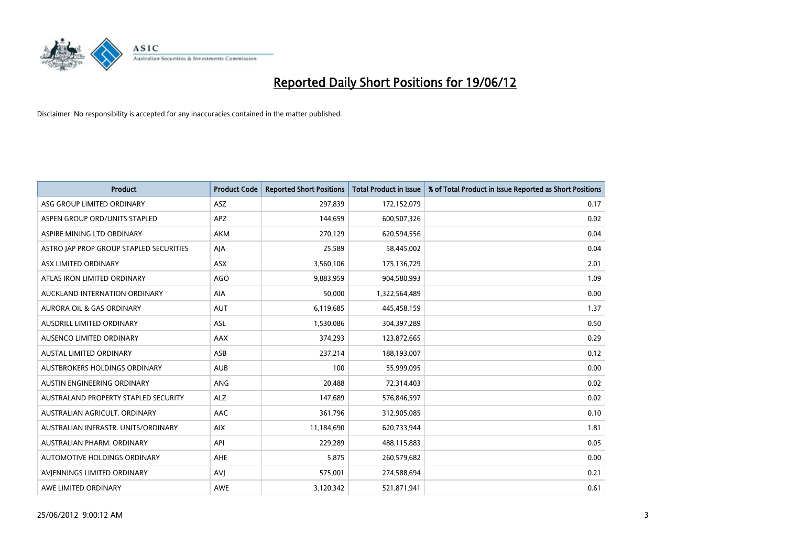

| <b>Product</b>                          | <b>Product Code</b> | <b>Reported Short Positions</b> | <b>Total Product in Issue</b> | % of Total Product in Issue Reported as Short Positions |
|-----------------------------------------|---------------------|---------------------------------|-------------------------------|---------------------------------------------------------|
| ASG GROUP LIMITED ORDINARY              | ASZ                 | 297,839                         | 172,152,079                   | 0.17                                                    |
| ASPEN GROUP ORD/UNITS STAPLED           | APZ                 | 144,659                         | 600,507,326                   | 0.02                                                    |
| ASPIRE MINING LTD ORDINARY              | <b>AKM</b>          | 270,129                         | 620,594,556                   | 0.04                                                    |
| ASTRO JAP PROP GROUP STAPLED SECURITIES | AJA                 | 25,589                          | 58,445,002                    | 0.04                                                    |
| ASX LIMITED ORDINARY                    | ASX                 | 3,560,106                       | 175,136,729                   | 2.01                                                    |
| ATLAS IRON LIMITED ORDINARY             | <b>AGO</b>          | 9,883,959                       | 904,580,993                   | 1.09                                                    |
| AUCKLAND INTERNATION ORDINARY           | AIA                 | 50,000                          | 1,322,564,489                 | 0.00                                                    |
| AURORA OIL & GAS ORDINARY               | <b>AUT</b>          | 6,119,685                       | 445,458,159                   | 1.37                                                    |
| AUSDRILL LIMITED ORDINARY               | <b>ASL</b>          | 1,530,086                       | 304,397,289                   | 0.50                                                    |
| AUSENCO LIMITED ORDINARY                | AAX                 | 374,293                         | 123,872,665                   | 0.29                                                    |
| AUSTAL LIMITED ORDINARY                 | ASB                 | 237,214                         | 188,193,007                   | 0.12                                                    |
| AUSTBROKERS HOLDINGS ORDINARY           | <b>AUB</b>          | 100                             | 55,999,095                    | 0.00                                                    |
| AUSTIN ENGINEERING ORDINARY             | ANG                 | 20,488                          | 72,314,403                    | 0.02                                                    |
| AUSTRALAND PROPERTY STAPLED SECURITY    | <b>ALZ</b>          | 147,689                         | 576,846,597                   | 0.02                                                    |
| AUSTRALIAN AGRICULT, ORDINARY           | AAC                 | 361,796                         | 312,905,085                   | 0.10                                                    |
| AUSTRALIAN INFRASTR. UNITS/ORDINARY     | <b>AIX</b>          | 11,184,690                      | 620,733,944                   | 1.81                                                    |
| AUSTRALIAN PHARM. ORDINARY              | API                 | 229,289                         | 488,115,883                   | 0.05                                                    |
| AUTOMOTIVE HOLDINGS ORDINARY            | <b>AHE</b>          | 5,875                           | 260,579,682                   | 0.00                                                    |
| AVIENNINGS LIMITED ORDINARY             | <b>AVJ</b>          | 575,001                         | 274,588,694                   | 0.21                                                    |
| AWE LIMITED ORDINARY                    | <b>AWE</b>          | 3,120,342                       | 521,871,941                   | 0.61                                                    |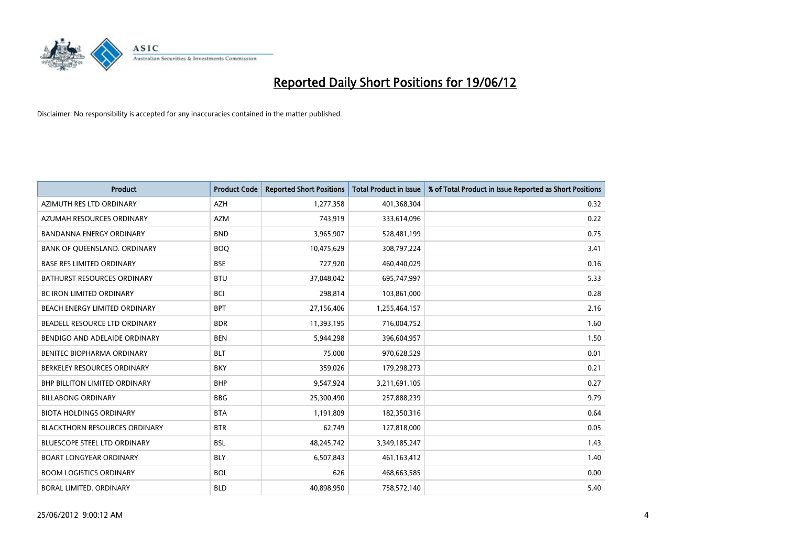

| <b>Product</b>                       | <b>Product Code</b> | <b>Reported Short Positions</b> | <b>Total Product in Issue</b> | % of Total Product in Issue Reported as Short Positions |
|--------------------------------------|---------------------|---------------------------------|-------------------------------|---------------------------------------------------------|
| AZIMUTH RES LTD ORDINARY             | <b>AZH</b>          | 1,277,358                       | 401,368,304                   | 0.32                                                    |
| AZUMAH RESOURCES ORDINARY            | <b>AZM</b>          | 743,919                         | 333,614,096                   | 0.22                                                    |
| <b>BANDANNA ENERGY ORDINARY</b>      | <b>BND</b>          | 3,965,907                       | 528,481,199                   | 0.75                                                    |
| BANK OF QUEENSLAND. ORDINARY         | <b>BOQ</b>          | 10,475,629                      | 308,797,224                   | 3.41                                                    |
| <b>BASE RES LIMITED ORDINARY</b>     | <b>BSE</b>          | 727,920                         | 460,440,029                   | 0.16                                                    |
| <b>BATHURST RESOURCES ORDINARY</b>   | <b>BTU</b>          | 37,048,042                      | 695,747,997                   | 5.33                                                    |
| <b>BC IRON LIMITED ORDINARY</b>      | <b>BCI</b>          | 298,814                         | 103,861,000                   | 0.28                                                    |
| BEACH ENERGY LIMITED ORDINARY        | <b>BPT</b>          | 27,156,406                      | 1,255,464,157                 | 2.16                                                    |
| BEADELL RESOURCE LTD ORDINARY        | <b>BDR</b>          | 11,393,195                      | 716,004,752                   | 1.60                                                    |
| BENDIGO AND ADELAIDE ORDINARY        | <b>BEN</b>          | 5,944,298                       | 396,604,957                   | 1.50                                                    |
| BENITEC BIOPHARMA ORDINARY           | <b>BLT</b>          | 75,000                          | 970,628,529                   | 0.01                                                    |
| BERKELEY RESOURCES ORDINARY          | <b>BKY</b>          | 359,026                         | 179,298,273                   | 0.21                                                    |
| <b>BHP BILLITON LIMITED ORDINARY</b> | <b>BHP</b>          | 9,547,924                       | 3,211,691,105                 | 0.27                                                    |
| <b>BILLABONG ORDINARY</b>            | <b>BBG</b>          | 25,300,490                      | 257,888,239                   | 9.79                                                    |
| <b>BIOTA HOLDINGS ORDINARY</b>       | <b>BTA</b>          | 1,191,809                       | 182,350,316                   | 0.64                                                    |
| <b>BLACKTHORN RESOURCES ORDINARY</b> | <b>BTR</b>          | 62,749                          | 127,818,000                   | 0.05                                                    |
| BLUESCOPE STEEL LTD ORDINARY         | <b>BSL</b>          | 48,245,742                      | 3,349,185,247                 | 1.43                                                    |
| <b>BOART LONGYEAR ORDINARY</b>       | <b>BLY</b>          | 6,507,843                       | 461,163,412                   | 1.40                                                    |
| <b>BOOM LOGISTICS ORDINARY</b>       | <b>BOL</b>          | 626                             | 468,663,585                   | 0.00                                                    |
| BORAL LIMITED. ORDINARY              | <b>BLD</b>          | 40,898,950                      | 758,572,140                   | 5.40                                                    |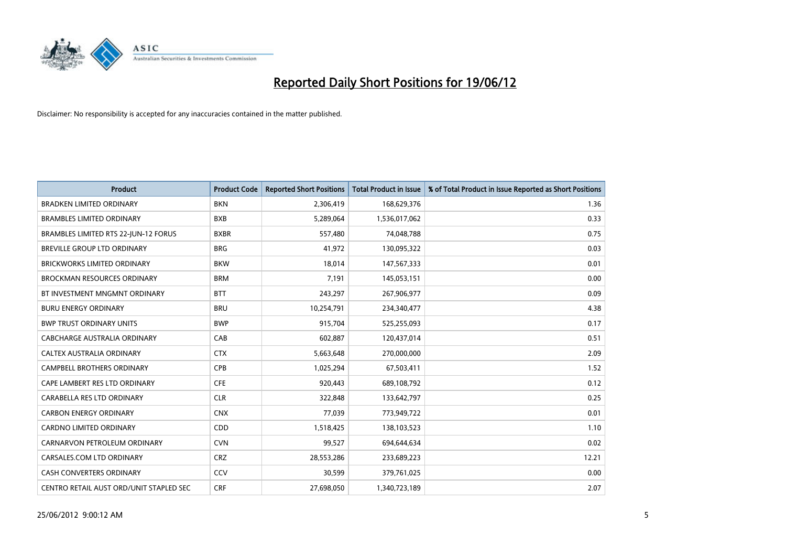

| <b>Product</b>                          | <b>Product Code</b> | <b>Reported Short Positions</b> | <b>Total Product in Issue</b> | % of Total Product in Issue Reported as Short Positions |
|-----------------------------------------|---------------------|---------------------------------|-------------------------------|---------------------------------------------------------|
| <b>BRADKEN LIMITED ORDINARY</b>         | <b>BKN</b>          | 2,306,419                       | 168,629,376                   | 1.36                                                    |
| <b>BRAMBLES LIMITED ORDINARY</b>        | <b>BXB</b>          | 5,289,064                       | 1,536,017,062                 | 0.33                                                    |
| BRAMBLES LIMITED RTS 22-JUN-12 FORUS    | <b>BXBR</b>         | 557,480                         | 74,048,788                    | 0.75                                                    |
| <b>BREVILLE GROUP LTD ORDINARY</b>      | <b>BRG</b>          | 41,972                          | 130,095,322                   | 0.03                                                    |
| <b>BRICKWORKS LIMITED ORDINARY</b>      | <b>BKW</b>          | 18,014                          | 147,567,333                   | 0.01                                                    |
| <b>BROCKMAN RESOURCES ORDINARY</b>      | <b>BRM</b>          | 7,191                           | 145,053,151                   | 0.00                                                    |
| BT INVESTMENT MNGMNT ORDINARY           | <b>BTT</b>          | 243,297                         | 267,906,977                   | 0.09                                                    |
| <b>BURU ENERGY ORDINARY</b>             | <b>BRU</b>          | 10,254,791                      | 234,340,477                   | 4.38                                                    |
| <b>BWP TRUST ORDINARY UNITS</b>         | <b>BWP</b>          | 915,704                         | 525,255,093                   | 0.17                                                    |
| <b>CABCHARGE AUSTRALIA ORDINARY</b>     | CAB                 | 602,887                         | 120,437,014                   | 0.51                                                    |
| CALTEX AUSTRALIA ORDINARY               | <b>CTX</b>          | 5,663,648                       | 270,000,000                   | 2.09                                                    |
| <b>CAMPBELL BROTHERS ORDINARY</b>       | <b>CPB</b>          | 1,025,294                       | 67,503,411                    | 1.52                                                    |
| CAPE LAMBERT RES LTD ORDINARY           | <b>CFE</b>          | 920,443                         | 689,108,792                   | 0.12                                                    |
| CARABELLA RES LTD ORDINARY              | <b>CLR</b>          | 322,848                         | 133,642,797                   | 0.25                                                    |
| <b>CARBON ENERGY ORDINARY</b>           | <b>CNX</b>          | 77,039                          | 773,949,722                   | 0.01                                                    |
| CARDNO LIMITED ORDINARY                 | CDD                 | 1,518,425                       | 138,103,523                   | 1.10                                                    |
| CARNARVON PETROLEUM ORDINARY            | <b>CVN</b>          | 99,527                          | 694,644,634                   | 0.02                                                    |
| CARSALES.COM LTD ORDINARY               | <b>CRZ</b>          | 28,553,286                      | 233,689,223                   | 12.21                                                   |
| <b>CASH CONVERTERS ORDINARY</b>         | CCV                 | 30,599                          | 379,761,025                   | 0.00                                                    |
| CENTRO RETAIL AUST ORD/UNIT STAPLED SEC | <b>CRF</b>          | 27,698,050                      | 1,340,723,189                 | 2.07                                                    |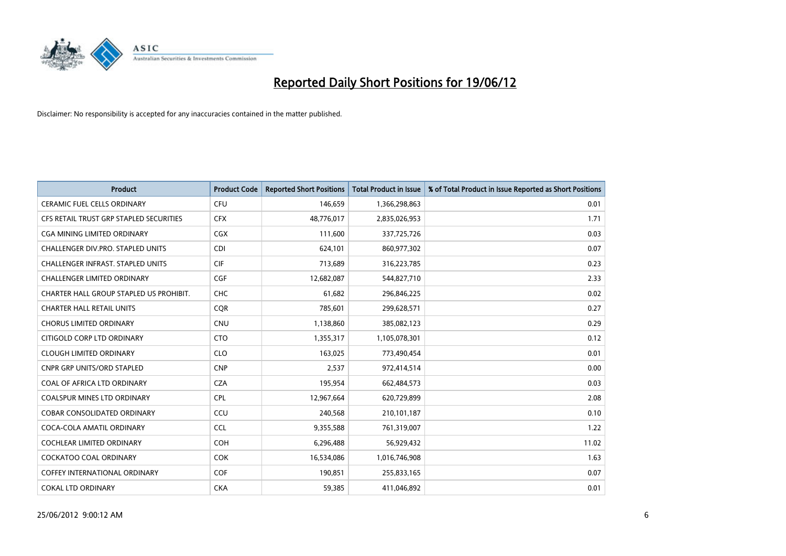

| <b>Product</b>                           | <b>Product Code</b> | <b>Reported Short Positions</b> | <b>Total Product in Issue</b> | % of Total Product in Issue Reported as Short Positions |
|------------------------------------------|---------------------|---------------------------------|-------------------------------|---------------------------------------------------------|
| <b>CERAMIC FUEL CELLS ORDINARY</b>       | <b>CFU</b>          | 146,659                         | 1,366,298,863                 | 0.01                                                    |
| CFS RETAIL TRUST GRP STAPLED SECURITIES  | <b>CFX</b>          | 48,776,017                      | 2,835,026,953                 | 1.71                                                    |
| CGA MINING LIMITED ORDINARY              | <b>CGX</b>          | 111,600                         | 337,725,726                   | 0.03                                                    |
| CHALLENGER DIV.PRO. STAPLED UNITS        | <b>CDI</b>          | 624,101                         | 860,977,302                   | 0.07                                                    |
| <b>CHALLENGER INFRAST, STAPLED UNITS</b> | <b>CIF</b>          | 713,689                         | 316,223,785                   | 0.23                                                    |
| <b>CHALLENGER LIMITED ORDINARY</b>       | <b>CGF</b>          | 12,682,087                      | 544,827,710                   | 2.33                                                    |
| CHARTER HALL GROUP STAPLED US PROHIBIT.  | <b>CHC</b>          | 61,682                          | 296,846,225                   | 0.02                                                    |
| <b>CHARTER HALL RETAIL UNITS</b>         | <b>COR</b>          | 785,601                         | 299,628,571                   | 0.27                                                    |
| <b>CHORUS LIMITED ORDINARY</b>           | <b>CNU</b>          | 1,138,860                       | 385,082,123                   | 0.29                                                    |
| CITIGOLD CORP LTD ORDINARY               | <b>CTO</b>          | 1,355,317                       | 1,105,078,301                 | 0.12                                                    |
| <b>CLOUGH LIMITED ORDINARY</b>           | <b>CLO</b>          | 163,025                         | 773,490,454                   | 0.01                                                    |
| <b>CNPR GRP UNITS/ORD STAPLED</b>        | <b>CNP</b>          | 2,537                           | 972,414,514                   | 0.00                                                    |
| COAL OF AFRICA LTD ORDINARY              | <b>CZA</b>          | 195,954                         | 662,484,573                   | 0.03                                                    |
| <b>COALSPUR MINES LTD ORDINARY</b>       | <b>CPL</b>          | 12,967,664                      | 620,729,899                   | 2.08                                                    |
| <b>COBAR CONSOLIDATED ORDINARY</b>       | CCU                 | 240,568                         | 210,101,187                   | 0.10                                                    |
| COCA-COLA AMATIL ORDINARY                | <b>CCL</b>          | 9,355,588                       | 761,319,007                   | 1.22                                                    |
| COCHLEAR LIMITED ORDINARY                | <b>COH</b>          | 6,296,488                       | 56,929,432                    | 11.02                                                   |
| <b>COCKATOO COAL ORDINARY</b>            | <b>COK</b>          | 16,534,086                      | 1,016,746,908                 | 1.63                                                    |
| <b>COFFEY INTERNATIONAL ORDINARY</b>     | <b>COF</b>          | 190,851                         | 255,833,165                   | 0.07                                                    |
| <b>COKAL LTD ORDINARY</b>                | <b>CKA</b>          | 59,385                          | 411,046,892                   | 0.01                                                    |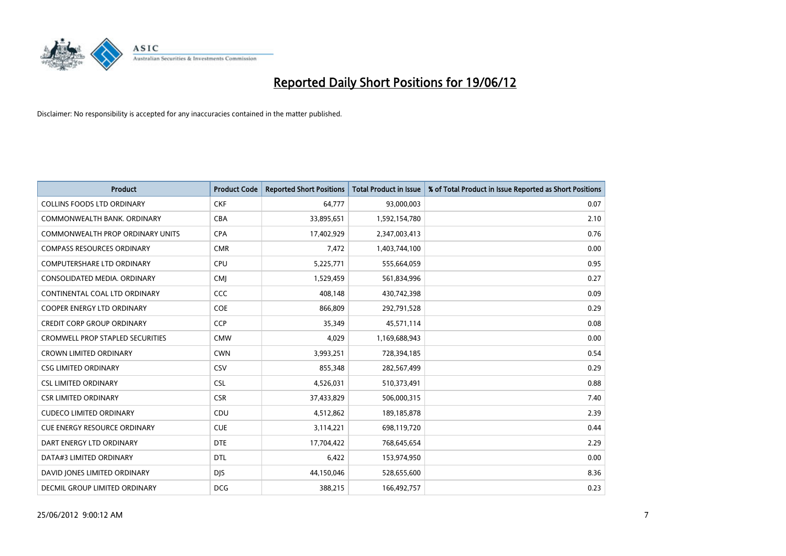

| <b>Product</b>                          | <b>Product Code</b> | <b>Reported Short Positions</b> | <b>Total Product in Issue</b> | % of Total Product in Issue Reported as Short Positions |
|-----------------------------------------|---------------------|---------------------------------|-------------------------------|---------------------------------------------------------|
| <b>COLLINS FOODS LTD ORDINARY</b>       | <b>CKF</b>          | 64,777                          | 93,000,003                    | 0.07                                                    |
| COMMONWEALTH BANK, ORDINARY             | <b>CBA</b>          | 33,895,651                      | 1,592,154,780                 | 2.10                                                    |
| <b>COMMONWEALTH PROP ORDINARY UNITS</b> | <b>CPA</b>          | 17,402,929                      | 2,347,003,413                 | 0.76                                                    |
| <b>COMPASS RESOURCES ORDINARY</b>       | <b>CMR</b>          | 7,472                           | 1,403,744,100                 | 0.00                                                    |
| <b>COMPUTERSHARE LTD ORDINARY</b>       | <b>CPU</b>          | 5,225,771                       | 555,664,059                   | 0.95                                                    |
| CONSOLIDATED MEDIA, ORDINARY            | <b>CMI</b>          | 1,529,459                       | 561,834,996                   | 0.27                                                    |
| CONTINENTAL COAL LTD ORDINARY           | CCC                 | 408,148                         | 430,742,398                   | 0.09                                                    |
| COOPER ENERGY LTD ORDINARY              | <b>COE</b>          | 866,809                         | 292,791,528                   | 0.29                                                    |
| <b>CREDIT CORP GROUP ORDINARY</b>       | CCP                 | 35,349                          | 45,571,114                    | 0.08                                                    |
| <b>CROMWELL PROP STAPLED SECURITIES</b> | <b>CMW</b>          | 4,029                           | 1,169,688,943                 | 0.00                                                    |
| <b>CROWN LIMITED ORDINARY</b>           | <b>CWN</b>          | 3,993,251                       | 728,394,185                   | 0.54                                                    |
| <b>CSG LIMITED ORDINARY</b>             | <b>CSV</b>          | 855,348                         | 282,567,499                   | 0.29                                                    |
| <b>CSL LIMITED ORDINARY</b>             | <b>CSL</b>          | 4,526,031                       | 510,373,491                   | 0.88                                                    |
| <b>CSR LIMITED ORDINARY</b>             | <b>CSR</b>          | 37,433,829                      | 506,000,315                   | 7.40                                                    |
| <b>CUDECO LIMITED ORDINARY</b>          | CDU                 | 4,512,862                       | 189, 185, 878                 | 2.39                                                    |
| CUE ENERGY RESOURCE ORDINARY            | <b>CUE</b>          | 3,114,221                       | 698,119,720                   | 0.44                                                    |
| DART ENERGY LTD ORDINARY                | <b>DTE</b>          | 17,704,422                      | 768,645,654                   | 2.29                                                    |
| DATA#3 LIMITED ORDINARY                 | <b>DTL</b>          | 6,422                           | 153,974,950                   | 0.00                                                    |
| DAVID JONES LIMITED ORDINARY            | <b>DJS</b>          | 44,150,046                      | 528,655,600                   | 8.36                                                    |
| DECMIL GROUP LIMITED ORDINARY           | <b>DCG</b>          | 388,215                         | 166,492,757                   | 0.23                                                    |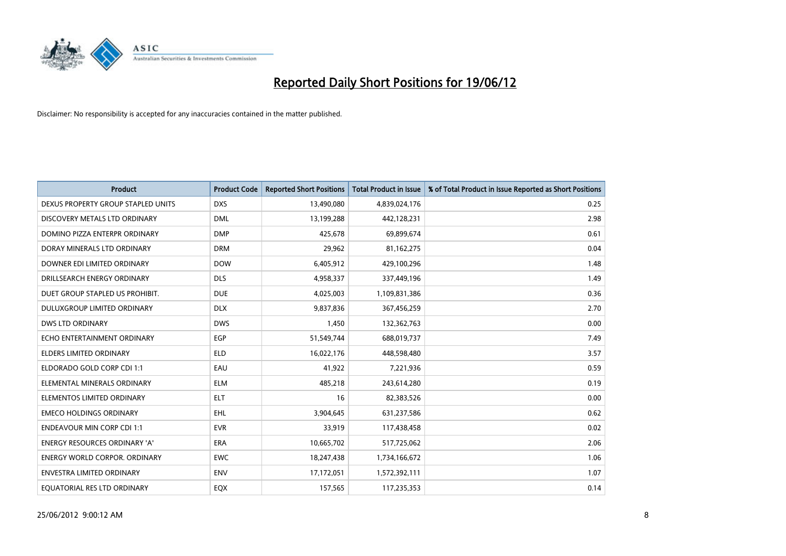

| <b>Product</b>                       | <b>Product Code</b> | <b>Reported Short Positions</b> | <b>Total Product in Issue</b> | % of Total Product in Issue Reported as Short Positions |
|--------------------------------------|---------------------|---------------------------------|-------------------------------|---------------------------------------------------------|
| DEXUS PROPERTY GROUP STAPLED UNITS   | <b>DXS</b>          | 13,490,080                      | 4,839,024,176                 | 0.25                                                    |
| DISCOVERY METALS LTD ORDINARY        | <b>DML</b>          | 13,199,288                      | 442,128,231                   | 2.98                                                    |
| DOMINO PIZZA ENTERPR ORDINARY        | <b>DMP</b>          | 425,678                         | 69,899,674                    | 0.61                                                    |
| DORAY MINERALS LTD ORDINARY          | <b>DRM</b>          | 29,962                          | 81,162,275                    | 0.04                                                    |
| DOWNER EDI LIMITED ORDINARY          | <b>DOW</b>          | 6,405,912                       | 429,100,296                   | 1.48                                                    |
| DRILLSEARCH ENERGY ORDINARY          | <b>DLS</b>          | 4,958,337                       | 337,449,196                   | 1.49                                                    |
| DUET GROUP STAPLED US PROHIBIT.      | <b>DUE</b>          | 4,025,003                       | 1,109,831,386                 | 0.36                                                    |
| DULUXGROUP LIMITED ORDINARY          | <b>DLX</b>          | 9,837,836                       | 367,456,259                   | 2.70                                                    |
| <b>DWS LTD ORDINARY</b>              | <b>DWS</b>          | 1,450                           | 132,362,763                   | 0.00                                                    |
| ECHO ENTERTAINMENT ORDINARY          | <b>EGP</b>          | 51,549,744                      | 688,019,737                   | 7.49                                                    |
| ELDERS LIMITED ORDINARY              | <b>ELD</b>          | 16,022,176                      | 448,598,480                   | 3.57                                                    |
| ELDORADO GOLD CORP CDI 1:1           | EAU                 | 41,922                          | 7,221,936                     | 0.59                                                    |
| ELEMENTAL MINERALS ORDINARY          | <b>ELM</b>          | 485,218                         | 243,614,280                   | 0.19                                                    |
| ELEMENTOS LIMITED ORDINARY           | ELT                 | 16                              | 82,383,526                    | 0.00                                                    |
| <b>EMECO HOLDINGS ORDINARY</b>       | <b>EHL</b>          | 3,904,645                       | 631,237,586                   | 0.62                                                    |
| <b>ENDEAVOUR MIN CORP CDI 1:1</b>    | <b>EVR</b>          | 33,919                          | 117,438,458                   | 0.02                                                    |
| ENERGY RESOURCES ORDINARY 'A'        | ERA                 | 10,665,702                      | 517,725,062                   | 2.06                                                    |
| <b>ENERGY WORLD CORPOR. ORDINARY</b> | <b>EWC</b>          | 18,247,438                      | 1,734,166,672                 | 1.06                                                    |
| <b>ENVESTRA LIMITED ORDINARY</b>     | <b>ENV</b>          | 17,172,051                      | 1,572,392,111                 | 1.07                                                    |
| EQUATORIAL RES LTD ORDINARY          | EQX                 | 157,565                         | 117,235,353                   | 0.14                                                    |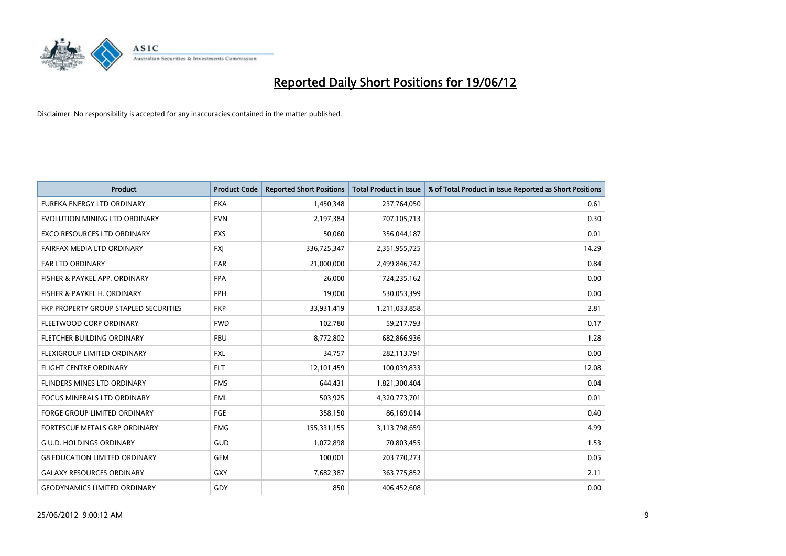

| <b>Product</b>                        | <b>Product Code</b> | <b>Reported Short Positions</b> | <b>Total Product in Issue</b> | % of Total Product in Issue Reported as Short Positions |
|---------------------------------------|---------------------|---------------------------------|-------------------------------|---------------------------------------------------------|
| EUREKA ENERGY LTD ORDINARY            | <b>EKA</b>          | 1,450,348                       | 237,764,050                   | 0.61                                                    |
| EVOLUTION MINING LTD ORDINARY         | <b>EVN</b>          | 2,197,384                       | 707,105,713                   | 0.30                                                    |
| <b>EXCO RESOURCES LTD ORDINARY</b>    | EXS                 | 50,060                          | 356,044,187                   | 0.01                                                    |
| FAIRFAX MEDIA LTD ORDINARY            | <b>FXJ</b>          | 336,725,347                     | 2,351,955,725                 | 14.29                                                   |
| <b>FAR LTD ORDINARY</b>               | <b>FAR</b>          | 21,000,000                      | 2,499,846,742                 | 0.84                                                    |
| FISHER & PAYKEL APP. ORDINARY         | <b>FPA</b>          | 26,000                          | 724,235,162                   | 0.00                                                    |
| FISHER & PAYKEL H. ORDINARY           | <b>FPH</b>          | 19,000                          | 530,053,399                   | 0.00                                                    |
| FKP PROPERTY GROUP STAPLED SECURITIES | <b>FKP</b>          | 33,931,419                      | 1,211,033,858                 | 2.81                                                    |
| FLEETWOOD CORP ORDINARY               | <b>FWD</b>          | 102,780                         | 59,217,793                    | 0.17                                                    |
| FLETCHER BUILDING ORDINARY            | <b>FBU</b>          | 8,772,802                       | 682,866,936                   | 1.28                                                    |
| FLEXIGROUP LIMITED ORDINARY           | FXL                 | 34,757                          | 282,113,791                   | 0.00                                                    |
| <b>FLIGHT CENTRE ORDINARY</b>         | <b>FLT</b>          | 12,101,459                      | 100,039,833                   | 12.08                                                   |
| FLINDERS MINES LTD ORDINARY           | <b>FMS</b>          | 644,431                         | 1,821,300,404                 | 0.04                                                    |
| <b>FOCUS MINERALS LTD ORDINARY</b>    | <b>FML</b>          | 503,925                         | 4,320,773,701                 | 0.01                                                    |
| <b>FORGE GROUP LIMITED ORDINARY</b>   | FGE                 | 358,150                         | 86,169,014                    | 0.40                                                    |
| FORTESCUE METALS GRP ORDINARY         | <b>FMG</b>          | 155,331,155                     | 3,113,798,659                 | 4.99                                                    |
| <b>G.U.D. HOLDINGS ORDINARY</b>       | GUD                 | 1,072,898                       | 70,803,455                    | 1.53                                                    |
| <b>G8 EDUCATION LIMITED ORDINARY</b>  | <b>GEM</b>          | 100,001                         | 203,770,273                   | 0.05                                                    |
| <b>GALAXY RESOURCES ORDINARY</b>      | <b>GXY</b>          | 7,682,387                       | 363,775,852                   | 2.11                                                    |
| <b>GEODYNAMICS LIMITED ORDINARY</b>   | GDY                 | 850                             | 406,452,608                   | 0.00                                                    |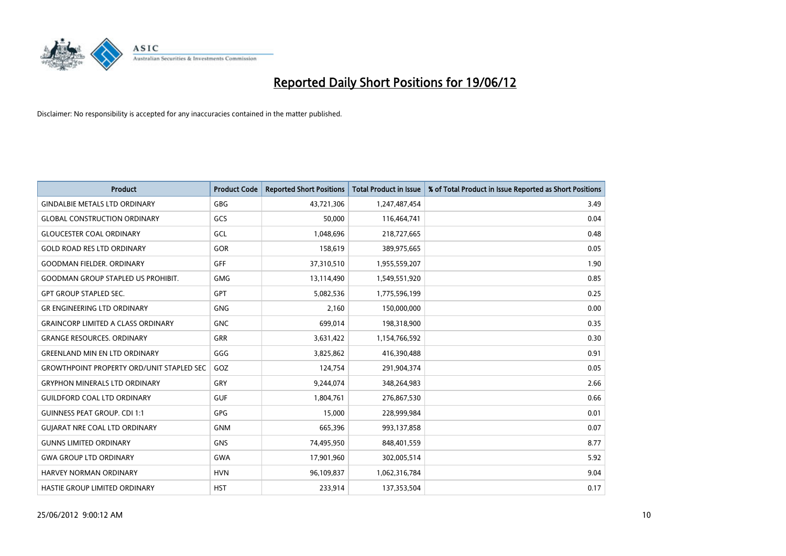

| Product                                          | <b>Product Code</b> | <b>Reported Short Positions</b> | <b>Total Product in Issue</b> | % of Total Product in Issue Reported as Short Positions |
|--------------------------------------------------|---------------------|---------------------------------|-------------------------------|---------------------------------------------------------|
| <b>GINDALBIE METALS LTD ORDINARY</b>             | GBG                 | 43,721,306                      | 1,247,487,454                 | 3.49                                                    |
| <b>GLOBAL CONSTRUCTION ORDINARY</b>              | GCS                 | 50,000                          | 116,464,741                   | 0.04                                                    |
| <b>GLOUCESTER COAL ORDINARY</b>                  | GCL                 | 1,048,696                       | 218,727,665                   | 0.48                                                    |
| <b>GOLD ROAD RES LTD ORDINARY</b>                | GOR                 | 158,619                         | 389,975,665                   | 0.05                                                    |
| <b>GOODMAN FIELDER, ORDINARY</b>                 | <b>GFF</b>          | 37,310,510                      | 1,955,559,207                 | 1.90                                                    |
| <b>GOODMAN GROUP STAPLED US PROHIBIT.</b>        | <b>GMG</b>          | 13,114,490                      | 1,549,551,920                 | 0.85                                                    |
| <b>GPT GROUP STAPLED SEC.</b>                    | <b>GPT</b>          | 5,082,536                       | 1,775,596,199                 | 0.25                                                    |
| <b>GR ENGINEERING LTD ORDINARY</b>               | <b>GNG</b>          | 2,160                           | 150,000,000                   | 0.00                                                    |
| <b>GRAINCORP LIMITED A CLASS ORDINARY</b>        | <b>GNC</b>          | 699,014                         | 198,318,900                   | 0.35                                                    |
| <b>GRANGE RESOURCES, ORDINARY</b>                | GRR                 | 3,631,422                       | 1,154,766,592                 | 0.30                                                    |
| <b>GREENLAND MIN EN LTD ORDINARY</b>             | GGG                 | 3,825,862                       | 416,390,488                   | 0.91                                                    |
| <b>GROWTHPOINT PROPERTY ORD/UNIT STAPLED SEC</b> | GOZ                 | 124,754                         | 291,904,374                   | 0.05                                                    |
| <b>GRYPHON MINERALS LTD ORDINARY</b>             | GRY                 | 9,244,074                       | 348,264,983                   | 2.66                                                    |
| <b>GUILDFORD COAL LTD ORDINARY</b>               | <b>GUF</b>          | 1,804,761                       | 276,867,530                   | 0.66                                                    |
| <b>GUINNESS PEAT GROUP. CDI 1:1</b>              | GPG                 | 15,000                          | 228,999,984                   | 0.01                                                    |
| <b>GUIARAT NRE COAL LTD ORDINARY</b>             | <b>GNM</b>          | 665,396                         | 993,137,858                   | 0.07                                                    |
| <b>GUNNS LIMITED ORDINARY</b>                    | <b>GNS</b>          | 74,495,950                      | 848,401,559                   | 8.77                                                    |
| <b>GWA GROUP LTD ORDINARY</b>                    | <b>GWA</b>          | 17,901,960                      | 302,005,514                   | 5.92                                                    |
| HARVEY NORMAN ORDINARY                           | <b>HVN</b>          | 96,109,837                      | 1,062,316,784                 | 9.04                                                    |
| HASTIE GROUP LIMITED ORDINARY                    | <b>HST</b>          | 233,914                         | 137,353,504                   | 0.17                                                    |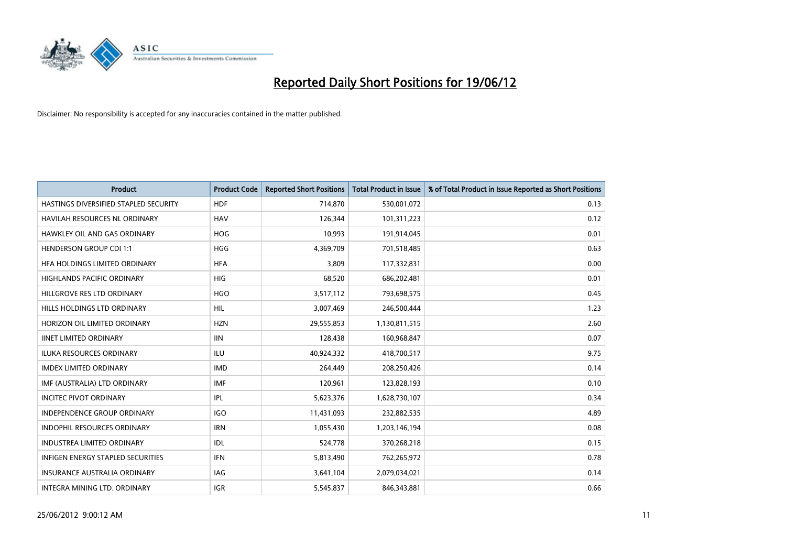

| <b>Product</b>                           | <b>Product Code</b> | <b>Reported Short Positions</b> | <b>Total Product in Issue</b> | % of Total Product in Issue Reported as Short Positions |
|------------------------------------------|---------------------|---------------------------------|-------------------------------|---------------------------------------------------------|
| HASTINGS DIVERSIFIED STAPLED SECURITY    | <b>HDF</b>          | 714,870                         | 530,001,072                   | 0.13                                                    |
| <b>HAVILAH RESOURCES NL ORDINARY</b>     | <b>HAV</b>          | 126,344                         | 101,311,223                   | 0.12                                                    |
| HAWKLEY OIL AND GAS ORDINARY             | <b>HOG</b>          | 10,993                          | 191,914,045                   | 0.01                                                    |
| <b>HENDERSON GROUP CDI 1:1</b>           | <b>HGG</b>          | 4,369,709                       | 701,518,485                   | 0.63                                                    |
| HFA HOLDINGS LIMITED ORDINARY            | <b>HFA</b>          | 3,809                           | 117,332,831                   | 0.00                                                    |
| <b>HIGHLANDS PACIFIC ORDINARY</b>        | <b>HIG</b>          | 68,520                          | 686,202,481                   | 0.01                                                    |
| HILLGROVE RES LTD ORDINARY               | <b>HGO</b>          | 3,517,112                       | 793,698,575                   | 0.45                                                    |
| HILLS HOLDINGS LTD ORDINARY              | <b>HIL</b>          | 3,007,469                       | 246,500,444                   | 1.23                                                    |
| HORIZON OIL LIMITED ORDINARY             | <b>HZN</b>          | 29,555,853                      | 1,130,811,515                 | 2.60                                                    |
| <b>IINET LIMITED ORDINARY</b>            | <b>IIN</b>          | 128,438                         | 160,968,847                   | 0.07                                                    |
| <b>ILUKA RESOURCES ORDINARY</b>          | ILU                 | 40,924,332                      | 418,700,517                   | 9.75                                                    |
| <b>IMDEX LIMITED ORDINARY</b>            | <b>IMD</b>          | 264,449                         | 208,250,426                   | 0.14                                                    |
| IMF (AUSTRALIA) LTD ORDINARY             | <b>IMF</b>          | 120,961                         | 123,828,193                   | 0.10                                                    |
| <b>INCITEC PIVOT ORDINARY</b>            | IPL                 | 5,623,376                       | 1,628,730,107                 | 0.34                                                    |
| <b>INDEPENDENCE GROUP ORDINARY</b>       | <b>IGO</b>          | 11,431,093                      | 232,882,535                   | 4.89                                                    |
| INDOPHIL RESOURCES ORDINARY              | <b>IRN</b>          | 1,055,430                       | 1,203,146,194                 | 0.08                                                    |
| INDUSTREA LIMITED ORDINARY               | IDL                 | 524,778                         | 370,268,218                   | 0.15                                                    |
| <b>INFIGEN ENERGY STAPLED SECURITIES</b> | <b>IFN</b>          | 5,813,490                       | 762,265,972                   | 0.78                                                    |
| <b>INSURANCE AUSTRALIA ORDINARY</b>      | IAG                 | 3,641,104                       | 2,079,034,021                 | 0.14                                                    |
| INTEGRA MINING LTD. ORDINARY             | <b>IGR</b>          | 5,545,837                       | 846,343,881                   | 0.66                                                    |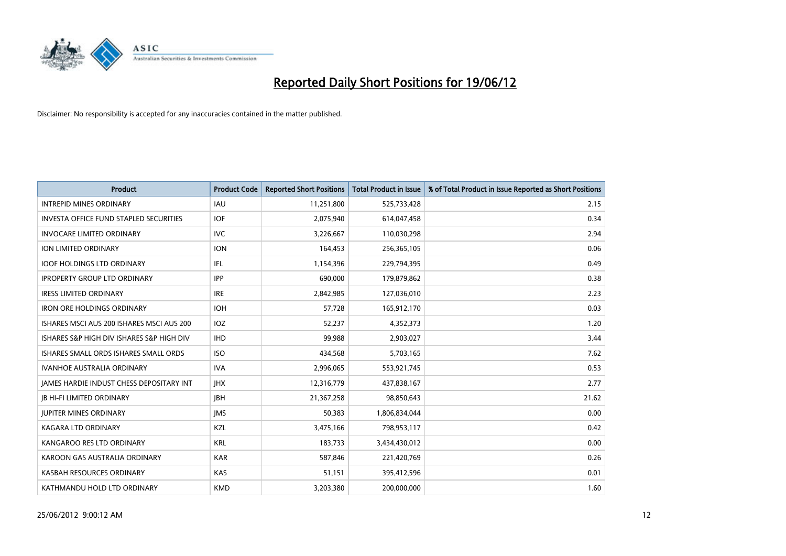

| <b>Product</b>                                  | <b>Product Code</b> | <b>Reported Short Positions</b> | <b>Total Product in Issue</b> | % of Total Product in Issue Reported as Short Positions |
|-------------------------------------------------|---------------------|---------------------------------|-------------------------------|---------------------------------------------------------|
| <b>INTREPID MINES ORDINARY</b>                  | IAU                 | 11,251,800                      | 525,733,428                   | 2.15                                                    |
| <b>INVESTA OFFICE FUND STAPLED SECURITIES</b>   | <b>IOF</b>          | 2,075,940                       | 614,047,458                   | 0.34                                                    |
| <b>INVOCARE LIMITED ORDINARY</b>                | IVC                 | 3,226,667                       | 110,030,298                   | 2.94                                                    |
| ION LIMITED ORDINARY                            | <b>ION</b>          | 164,453                         | 256,365,105                   | 0.06                                                    |
| <b>IOOF HOLDINGS LTD ORDINARY</b>               | IFL                 | 1,154,396                       | 229,794,395                   | 0.49                                                    |
| <b>IPROPERTY GROUP LTD ORDINARY</b>             | <b>IPP</b>          | 690,000                         | 179,879,862                   | 0.38                                                    |
| <b>IRESS LIMITED ORDINARY</b>                   | <b>IRE</b>          | 2,842,985                       | 127,036,010                   | 2.23                                                    |
| <b>IRON ORE HOLDINGS ORDINARY</b>               | <b>IOH</b>          | 57,728                          | 165,912,170                   | 0.03                                                    |
| ISHARES MSCI AUS 200 ISHARES MSCI AUS 200       | IOZ                 | 52,237                          | 4,352,373                     | 1.20                                                    |
| ISHARES S&P HIGH DIV ISHARES S&P HIGH DIV       | <b>IHD</b>          | 99,988                          | 2,903,027                     | 3.44                                                    |
| ISHARES SMALL ORDS ISHARES SMALL ORDS           | <b>ISO</b>          | 434,568                         | 5,703,165                     | 7.62                                                    |
| <b>IVANHOE AUSTRALIA ORDINARY</b>               | <b>IVA</b>          | 2,996,065                       | 553,921,745                   | 0.53                                                    |
| <b>IAMES HARDIE INDUST CHESS DEPOSITARY INT</b> | <b>IHX</b>          | 12,316,779                      | 437,838,167                   | 2.77                                                    |
| <b>IB HI-FI LIMITED ORDINARY</b>                | <b>IBH</b>          | 21,367,258                      | 98,850,643                    | 21.62                                                   |
| <b>JUPITER MINES ORDINARY</b>                   | <b>IMS</b>          | 50,383                          | 1,806,834,044                 | 0.00                                                    |
| <b>KAGARA LTD ORDINARY</b>                      | KZL                 | 3,475,166                       | 798,953,117                   | 0.42                                                    |
| KANGAROO RES LTD ORDINARY                       | <b>KRL</b>          | 183,733                         | 3,434,430,012                 | 0.00                                                    |
| KAROON GAS AUSTRALIA ORDINARY                   | <b>KAR</b>          | 587,846                         | 221,420,769                   | 0.26                                                    |
| KASBAH RESOURCES ORDINARY                       | <b>KAS</b>          | 51,151                          | 395,412,596                   | 0.01                                                    |
| KATHMANDU HOLD LTD ORDINARY                     | <b>KMD</b>          | 3,203,380                       | 200,000,000                   | 1.60                                                    |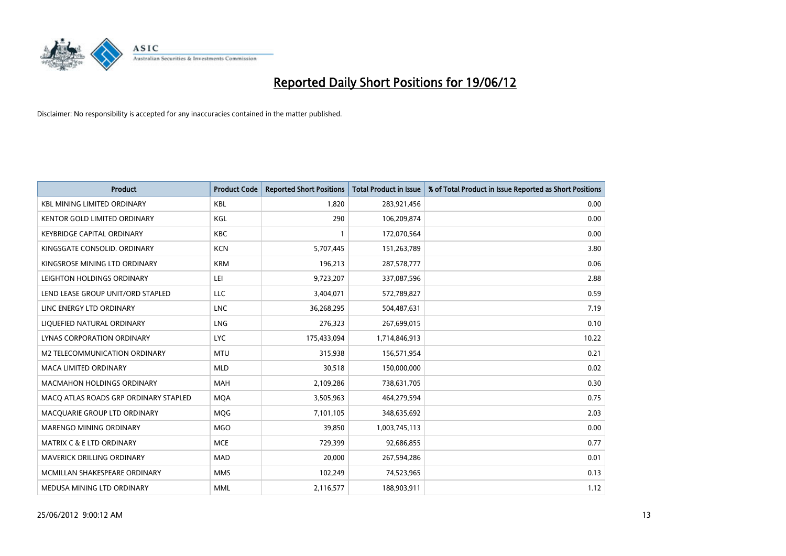

| <b>Product</b>                        | <b>Product Code</b> | <b>Reported Short Positions</b> | <b>Total Product in Issue</b> | % of Total Product in Issue Reported as Short Positions |
|---------------------------------------|---------------------|---------------------------------|-------------------------------|---------------------------------------------------------|
| <b>KBL MINING LIMITED ORDINARY</b>    | <b>KBL</b>          | 1,820                           | 283,921,456                   | 0.00                                                    |
| KENTOR GOLD LIMITED ORDINARY          | KGL                 | 290                             | 106,209,874                   | 0.00                                                    |
| KEYBRIDGE CAPITAL ORDINARY            | <b>KBC</b>          | $\mathbf{1}$                    | 172,070,564                   | 0.00                                                    |
| KINGSGATE CONSOLID. ORDINARY          | <b>KCN</b>          | 5,707,445                       | 151,263,789                   | 3.80                                                    |
| KINGSROSE MINING LTD ORDINARY         | <b>KRM</b>          | 196,213                         | 287,578,777                   | 0.06                                                    |
| LEIGHTON HOLDINGS ORDINARY            | LEI                 | 9,723,207                       | 337,087,596                   | 2.88                                                    |
| LEND LEASE GROUP UNIT/ORD STAPLED     | LLC                 | 3,404,071                       | 572,789,827                   | 0.59                                                    |
| LINC ENERGY LTD ORDINARY              | LNC                 | 36,268,295                      | 504,487,631                   | 7.19                                                    |
| LIQUEFIED NATURAL ORDINARY            | <b>LNG</b>          | 276,323                         | 267,699,015                   | 0.10                                                    |
| <b>LYNAS CORPORATION ORDINARY</b>     | <b>LYC</b>          | 175,433,094                     | 1,714,846,913                 | 10.22                                                   |
| M2 TELECOMMUNICATION ORDINARY         | <b>MTU</b>          | 315,938                         | 156,571,954                   | 0.21                                                    |
| <b>MACA LIMITED ORDINARY</b>          | <b>MLD</b>          | 30,518                          | 150,000,000                   | 0.02                                                    |
| <b>MACMAHON HOLDINGS ORDINARY</b>     | <b>MAH</b>          | 2,109,286                       | 738,631,705                   | 0.30                                                    |
| MACO ATLAS ROADS GRP ORDINARY STAPLED | <b>MQA</b>          | 3,505,963                       | 464,279,594                   | 0.75                                                    |
| MACQUARIE GROUP LTD ORDINARY          | MQG                 | 7,101,105                       | 348,635,692                   | 2.03                                                    |
| MARENGO MINING ORDINARY               | <b>MGO</b>          | 39,850                          | 1,003,745,113                 | 0.00                                                    |
| <b>MATRIX C &amp; E LTD ORDINARY</b>  | <b>MCE</b>          | 729,399                         | 92,686,855                    | 0.77                                                    |
| MAVERICK DRILLING ORDINARY            | <b>MAD</b>          | 20,000                          | 267,594,286                   | 0.01                                                    |
| MCMILLAN SHAKESPEARE ORDINARY         | <b>MMS</b>          | 102,249                         | 74,523,965                    | 0.13                                                    |
| MEDUSA MINING LTD ORDINARY            | <b>MML</b>          | 2,116,577                       | 188,903,911                   | 1.12                                                    |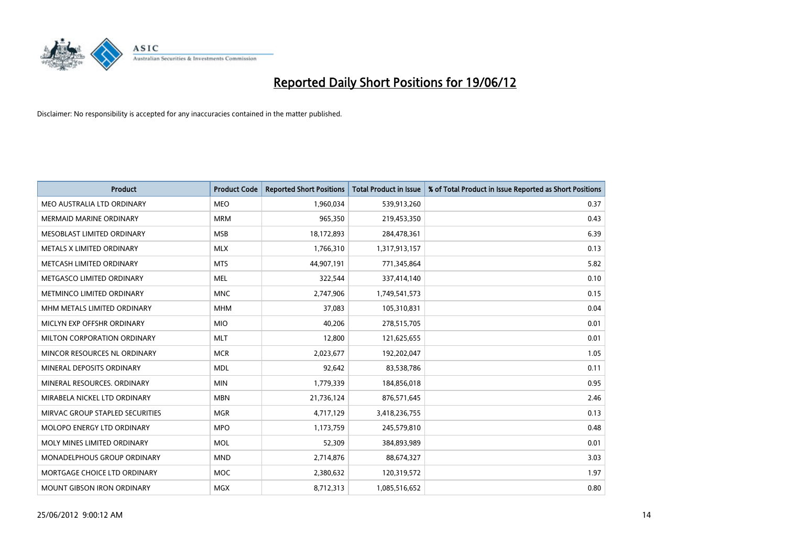

| <b>Product</b>                  | <b>Product Code</b> | <b>Reported Short Positions</b> | <b>Total Product in Issue</b> | % of Total Product in Issue Reported as Short Positions |
|---------------------------------|---------------------|---------------------------------|-------------------------------|---------------------------------------------------------|
| MEO AUSTRALIA LTD ORDINARY      | <b>MEO</b>          | 1,960,034                       | 539,913,260                   | 0.37                                                    |
| MERMAID MARINE ORDINARY         | <b>MRM</b>          | 965,350                         | 219,453,350                   | 0.43                                                    |
| MESOBLAST LIMITED ORDINARY      | <b>MSB</b>          | 18,172,893                      | 284,478,361                   | 6.39                                                    |
| METALS X LIMITED ORDINARY       | <b>MLX</b>          | 1,766,310                       | 1,317,913,157                 | 0.13                                                    |
| METCASH LIMITED ORDINARY        | <b>MTS</b>          | 44,907,191                      | 771,345,864                   | 5.82                                                    |
| METGASCO LIMITED ORDINARY       | <b>MEL</b>          | 322,544                         | 337,414,140                   | 0.10                                                    |
| METMINCO LIMITED ORDINARY       | <b>MNC</b>          | 2,747,906                       | 1,749,541,573                 | 0.15                                                    |
| MHM METALS LIMITED ORDINARY     | <b>MHM</b>          | 37,083                          | 105,310,831                   | 0.04                                                    |
| MICLYN EXP OFFSHR ORDINARY      | <b>MIO</b>          | 40,206                          | 278,515,705                   | 0.01                                                    |
| MILTON CORPORATION ORDINARY     | <b>MLT</b>          | 12,800                          | 121,625,655                   | 0.01                                                    |
| MINCOR RESOURCES NL ORDINARY    | <b>MCR</b>          | 2,023,677                       | 192,202,047                   | 1.05                                                    |
| MINERAL DEPOSITS ORDINARY       | <b>MDL</b>          | 92,642                          | 83,538,786                    | 0.11                                                    |
| MINERAL RESOURCES. ORDINARY     | <b>MIN</b>          | 1,779,339                       | 184,856,018                   | 0.95                                                    |
| MIRABELA NICKEL LTD ORDINARY    | <b>MBN</b>          | 21,736,124                      | 876,571,645                   | 2.46                                                    |
| MIRVAC GROUP STAPLED SECURITIES | <b>MGR</b>          | 4,717,129                       | 3,418,236,755                 | 0.13                                                    |
| MOLOPO ENERGY LTD ORDINARY      | <b>MPO</b>          | 1,173,759                       | 245,579,810                   | 0.48                                                    |
| MOLY MINES LIMITED ORDINARY     | <b>MOL</b>          | 52,309                          | 384,893,989                   | 0.01                                                    |
| MONADELPHOUS GROUP ORDINARY     | <b>MND</b>          | 2,714,876                       | 88,674,327                    | 3.03                                                    |
| MORTGAGE CHOICE LTD ORDINARY    | <b>MOC</b>          | 2,380,632                       | 120,319,572                   | 1.97                                                    |
| MOUNT GIBSON IRON ORDINARY      | <b>MGX</b>          | 8,712,313                       | 1,085,516,652                 | 0.80                                                    |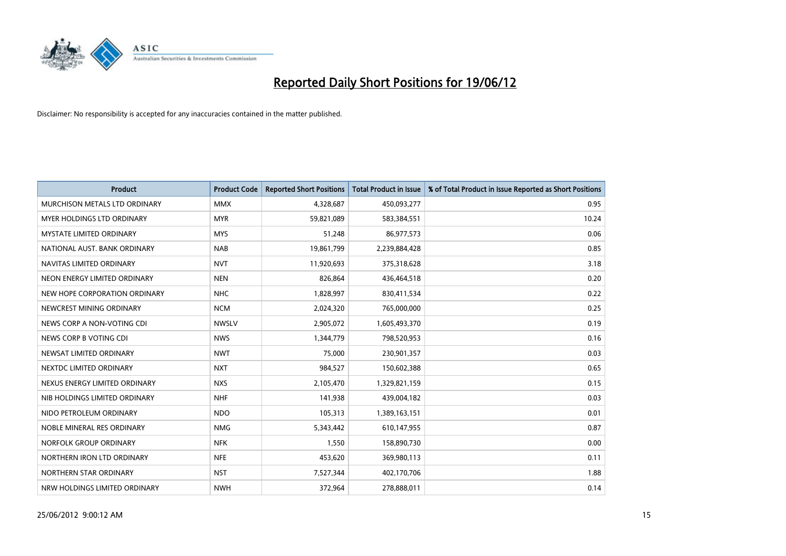

| <b>Product</b>                | <b>Product Code</b> | <b>Reported Short Positions</b> | <b>Total Product in Issue</b> | % of Total Product in Issue Reported as Short Positions |
|-------------------------------|---------------------|---------------------------------|-------------------------------|---------------------------------------------------------|
| MURCHISON METALS LTD ORDINARY | <b>MMX</b>          | 4,328,687                       | 450,093,277                   | 0.95                                                    |
| MYER HOLDINGS LTD ORDINARY    | <b>MYR</b>          | 59,821,089                      | 583,384,551                   | 10.24                                                   |
| MYSTATE LIMITED ORDINARY      | <b>MYS</b>          | 51,248                          | 86,977,573                    | 0.06                                                    |
| NATIONAL AUST. BANK ORDINARY  | <b>NAB</b>          | 19,861,799                      | 2,239,884,428                 | 0.85                                                    |
| NAVITAS LIMITED ORDINARY      | <b>NVT</b>          | 11,920,693                      | 375,318,628                   | 3.18                                                    |
| NEON ENERGY LIMITED ORDINARY  | <b>NEN</b>          | 826,864                         | 436,464,518                   | 0.20                                                    |
| NEW HOPE CORPORATION ORDINARY | <b>NHC</b>          | 1,828,997                       | 830,411,534                   | 0.22                                                    |
| NEWCREST MINING ORDINARY      | <b>NCM</b>          | 2,024,320                       | 765,000,000                   | 0.25                                                    |
| NEWS CORP A NON-VOTING CDI    | <b>NWSLV</b>        | 2,905,072                       | 1,605,493,370                 | 0.19                                                    |
| NEWS CORP B VOTING CDI        | <b>NWS</b>          | 1,344,779                       | 798,520,953                   | 0.16                                                    |
| NEWSAT LIMITED ORDINARY       | <b>NWT</b>          | 75,000                          | 230,901,357                   | 0.03                                                    |
| NEXTDC LIMITED ORDINARY       | <b>NXT</b>          | 984,527                         | 150,602,388                   | 0.65                                                    |
| NEXUS ENERGY LIMITED ORDINARY | <b>NXS</b>          | 2,105,470                       | 1,329,821,159                 | 0.15                                                    |
| NIB HOLDINGS LIMITED ORDINARY | <b>NHF</b>          | 141,938                         | 439,004,182                   | 0.03                                                    |
| NIDO PETROLEUM ORDINARY       | <b>NDO</b>          | 105,313                         | 1,389,163,151                 | 0.01                                                    |
| NOBLE MINERAL RES ORDINARY    | <b>NMG</b>          | 5,343,442                       | 610,147,955                   | 0.87                                                    |
| NORFOLK GROUP ORDINARY        | <b>NFK</b>          | 1,550                           | 158,890,730                   | 0.00                                                    |
| NORTHERN IRON LTD ORDINARY    | <b>NFE</b>          | 453,620                         | 369,980,113                   | 0.11                                                    |
| NORTHERN STAR ORDINARY        | <b>NST</b>          | 7,527,344                       | 402,170,706                   | 1.88                                                    |
| NRW HOLDINGS LIMITED ORDINARY | <b>NWH</b>          | 372,964                         | 278,888,011                   | 0.14                                                    |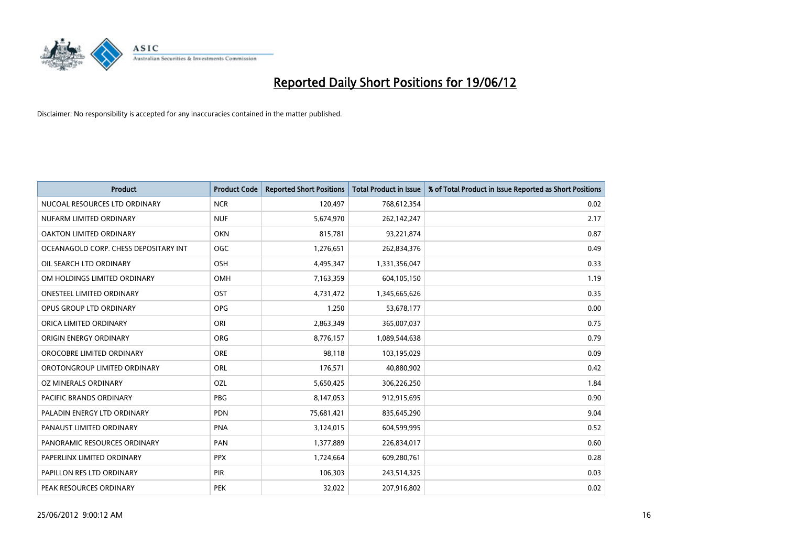

| <b>Product</b>                        | <b>Product Code</b> | <b>Reported Short Positions</b> | <b>Total Product in Issue</b> | % of Total Product in Issue Reported as Short Positions |
|---------------------------------------|---------------------|---------------------------------|-------------------------------|---------------------------------------------------------|
| NUCOAL RESOURCES LTD ORDINARY         | <b>NCR</b>          | 120,497                         | 768,612,354                   | 0.02                                                    |
| NUFARM LIMITED ORDINARY               | <b>NUF</b>          | 5,674,970                       | 262,142,247                   | 2.17                                                    |
| OAKTON LIMITED ORDINARY               | <b>OKN</b>          | 815,781                         | 93,221,874                    | 0.87                                                    |
| OCEANAGOLD CORP. CHESS DEPOSITARY INT | <b>OGC</b>          | 1,276,651                       | 262,834,376                   | 0.49                                                    |
| OIL SEARCH LTD ORDINARY               | OSH                 | 4,495,347                       | 1,331,356,047                 | 0.33                                                    |
| OM HOLDINGS LIMITED ORDINARY          | <b>OMH</b>          | 7,163,359                       | 604,105,150                   | 1.19                                                    |
| <b>ONESTEEL LIMITED ORDINARY</b>      | OST                 | 4,731,472                       | 1,345,665,626                 | 0.35                                                    |
| OPUS GROUP LTD ORDINARY               | OPG                 | 1,250                           | 53,678,177                    | 0.00                                                    |
| ORICA LIMITED ORDINARY                | ORI                 | 2,863,349                       | 365,007,037                   | 0.75                                                    |
| ORIGIN ENERGY ORDINARY                | <b>ORG</b>          | 8,776,157                       | 1,089,544,638                 | 0.79                                                    |
| OROCOBRE LIMITED ORDINARY             | <b>ORE</b>          | 98,118                          | 103,195,029                   | 0.09                                                    |
| OROTONGROUP LIMITED ORDINARY          | ORL                 | 176,571                         | 40,880,902                    | 0.42                                                    |
| OZ MINERALS ORDINARY                  | OZL                 | 5,650,425                       | 306,226,250                   | 1.84                                                    |
| <b>PACIFIC BRANDS ORDINARY</b>        | <b>PBG</b>          | 8,147,053                       | 912,915,695                   | 0.90                                                    |
| PALADIN ENERGY LTD ORDINARY           | <b>PDN</b>          | 75,681,421                      | 835,645,290                   | 9.04                                                    |
| PANAUST LIMITED ORDINARY              | <b>PNA</b>          | 3,124,015                       | 604,599,995                   | 0.52                                                    |
| PANORAMIC RESOURCES ORDINARY          | PAN                 | 1,377,889                       | 226,834,017                   | 0.60                                                    |
| PAPERLINX LIMITED ORDINARY            | <b>PPX</b>          | 1,724,664                       | 609,280,761                   | 0.28                                                    |
| PAPILLON RES LTD ORDINARY             | PIR                 | 106,303                         | 243,514,325                   | 0.03                                                    |
| PEAK RESOURCES ORDINARY               | <b>PEK</b>          | 32,022                          | 207,916,802                   | 0.02                                                    |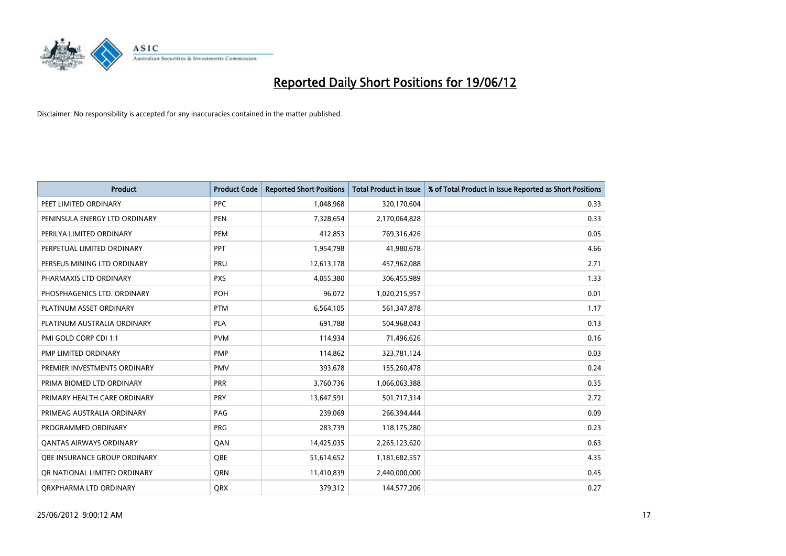

| <b>Product</b>                 | <b>Product Code</b> | <b>Reported Short Positions</b> | <b>Total Product in Issue</b> | % of Total Product in Issue Reported as Short Positions |
|--------------------------------|---------------------|---------------------------------|-------------------------------|---------------------------------------------------------|
| PEET LIMITED ORDINARY          | <b>PPC</b>          | 1,048,968                       | 320,170,604                   | 0.33                                                    |
| PENINSULA ENERGY LTD ORDINARY  | <b>PEN</b>          | 7,328,654                       | 2,170,064,828                 | 0.33                                                    |
| PERILYA LIMITED ORDINARY       | PEM                 | 412,853                         | 769,316,426                   | 0.05                                                    |
| PERPETUAL LIMITED ORDINARY     | <b>PPT</b>          | 1,954,798                       | 41,980,678                    | 4.66                                                    |
| PERSEUS MINING LTD ORDINARY    | PRU                 | 12,613,178                      | 457,962,088                   | 2.71                                                    |
| PHARMAXIS LTD ORDINARY         | <b>PXS</b>          | 4,055,380                       | 306,455,989                   | 1.33                                                    |
| PHOSPHAGENICS LTD. ORDINARY    | POH                 | 96,072                          | 1,020,215,957                 | 0.01                                                    |
| PLATINUM ASSET ORDINARY        | <b>PTM</b>          | 6,564,105                       | 561,347,878                   | 1.17                                                    |
| PLATINUM AUSTRALIA ORDINARY    | <b>PLA</b>          | 691,788                         | 504,968,043                   | 0.13                                                    |
| PMI GOLD CORP CDI 1:1          | <b>PVM</b>          | 114,934                         | 71,496,626                    | 0.16                                                    |
| PMP LIMITED ORDINARY           | <b>PMP</b>          | 114,862                         | 323,781,124                   | 0.03                                                    |
| PREMIER INVESTMENTS ORDINARY   | PMV                 | 393,678                         | 155,260,478                   | 0.24                                                    |
| PRIMA BIOMED LTD ORDINARY      | <b>PRR</b>          | 3,760,736                       | 1,066,063,388                 | 0.35                                                    |
| PRIMARY HEALTH CARE ORDINARY   | <b>PRY</b>          | 13,647,591                      | 501,717,314                   | 2.72                                                    |
| PRIMEAG AUSTRALIA ORDINARY     | PAG                 | 239,069                         | 266,394,444                   | 0.09                                                    |
| PROGRAMMED ORDINARY            | <b>PRG</b>          | 283,739                         | 118,175,280                   | 0.23                                                    |
| <b>QANTAS AIRWAYS ORDINARY</b> | QAN                 | 14,425,035                      | 2,265,123,620                 | 0.63                                                    |
| OBE INSURANCE GROUP ORDINARY   | <b>OBE</b>          | 51,614,652                      | 1,181,682,557                 | 4.35                                                    |
| OR NATIONAL LIMITED ORDINARY   | <b>ORN</b>          | 11,410,839                      | 2,440,000,000                 | 0.45                                                    |
| ORXPHARMA LTD ORDINARY         | QRX                 | 379,312                         | 144,577,206                   | 0.27                                                    |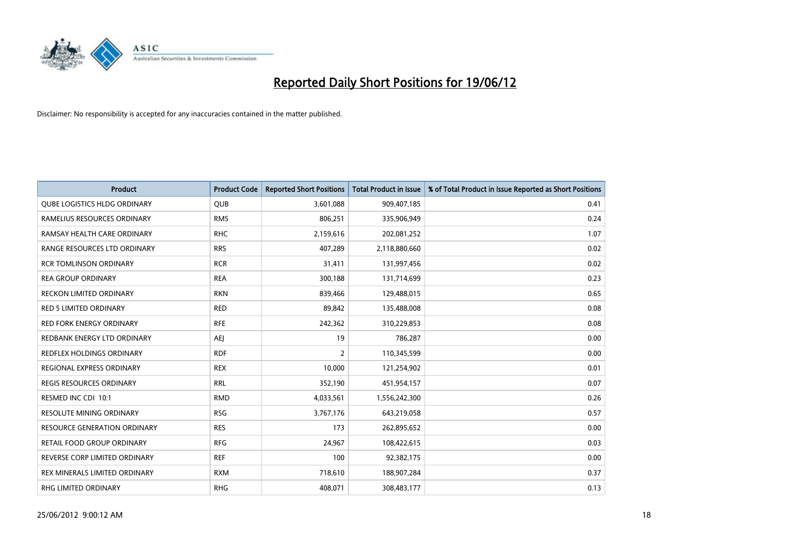

| <b>Product</b>                      | <b>Product Code</b> | <b>Reported Short Positions</b> | <b>Total Product in Issue</b> | % of Total Product in Issue Reported as Short Positions |
|-------------------------------------|---------------------|---------------------------------|-------------------------------|---------------------------------------------------------|
| <b>QUBE LOGISTICS HLDG ORDINARY</b> | <b>QUB</b>          | 3,601,088                       | 909,407,185                   | 0.41                                                    |
| RAMELIUS RESOURCES ORDINARY         | <b>RMS</b>          | 806,251                         | 335,906,949                   | 0.24                                                    |
| RAMSAY HEALTH CARE ORDINARY         | <b>RHC</b>          | 2,159,616                       | 202,081,252                   | 1.07                                                    |
| RANGE RESOURCES LTD ORDINARY        | <b>RRS</b>          | 407,289                         | 2,118,880,660                 | 0.02                                                    |
| <b>RCR TOMLINSON ORDINARY</b>       | <b>RCR</b>          | 31,411                          | 131,997,456                   | 0.02                                                    |
| <b>REA GROUP ORDINARY</b>           | <b>REA</b>          | 300,188                         | 131,714,699                   | 0.23                                                    |
| <b>RECKON LIMITED ORDINARY</b>      | <b>RKN</b>          | 839,466                         | 129,488,015                   | 0.65                                                    |
| RED 5 LIMITED ORDINARY              | <b>RED</b>          | 89,842                          | 135,488,008                   | 0.08                                                    |
| <b>RED FORK ENERGY ORDINARY</b>     | <b>RFE</b>          | 242,362                         | 310,229,853                   | 0.08                                                    |
| REDBANK ENERGY LTD ORDINARY         | AEJ                 | 19                              | 786,287                       | 0.00                                                    |
| REDFLEX HOLDINGS ORDINARY           | <b>RDF</b>          | $\overline{2}$                  | 110,345,599                   | 0.00                                                    |
| <b>REGIONAL EXPRESS ORDINARY</b>    | <b>REX</b>          | 10,000                          | 121,254,902                   | 0.01                                                    |
| REGIS RESOURCES ORDINARY            | <b>RRL</b>          | 352,190                         | 451,954,157                   | 0.07                                                    |
| RESMED INC CDI 10:1                 | <b>RMD</b>          | 4,033,561                       | 1,556,242,300                 | 0.26                                                    |
| <b>RESOLUTE MINING ORDINARY</b>     | <b>RSG</b>          | 3,767,176                       | 643,219,058                   | 0.57                                                    |
| <b>RESOURCE GENERATION ORDINARY</b> | <b>RES</b>          | 173                             | 262,895,652                   | 0.00                                                    |
| RETAIL FOOD GROUP ORDINARY          | <b>RFG</b>          | 24,967                          | 108,422,615                   | 0.03                                                    |
| REVERSE CORP LIMITED ORDINARY       | <b>REF</b>          | 100                             | 92,382,175                    | 0.00                                                    |
| REX MINERALS LIMITED ORDINARY       | <b>RXM</b>          | 718,610                         | 188,907,284                   | 0.37                                                    |
| <b>RHG LIMITED ORDINARY</b>         | <b>RHG</b>          | 408,071                         | 308,483,177                   | 0.13                                                    |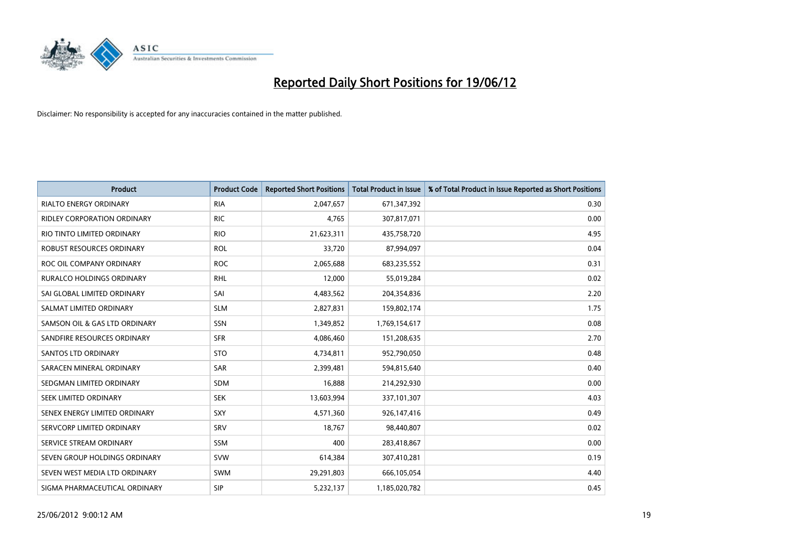

| <b>Product</b>                   | <b>Product Code</b> | <b>Reported Short Positions</b> | <b>Total Product in Issue</b> | % of Total Product in Issue Reported as Short Positions |
|----------------------------------|---------------------|---------------------------------|-------------------------------|---------------------------------------------------------|
| <b>RIALTO ENERGY ORDINARY</b>    | <b>RIA</b>          | 2,047,657                       | 671,347,392                   | 0.30                                                    |
| RIDLEY CORPORATION ORDINARY      | <b>RIC</b>          | 4,765                           | 307,817,071                   | 0.00                                                    |
| RIO TINTO LIMITED ORDINARY       | <b>RIO</b>          | 21,623,311                      | 435,758,720                   | 4.95                                                    |
| ROBUST RESOURCES ORDINARY        | <b>ROL</b>          | 33,720                          | 87,994,097                    | 0.04                                                    |
| ROC OIL COMPANY ORDINARY         | <b>ROC</b>          | 2,065,688                       | 683,235,552                   | 0.31                                                    |
| <b>RURALCO HOLDINGS ORDINARY</b> | <b>RHL</b>          | 12,000                          | 55,019,284                    | 0.02                                                    |
| SAI GLOBAL LIMITED ORDINARY      | SAI                 | 4,483,562                       | 204,354,836                   | 2.20                                                    |
| SALMAT LIMITED ORDINARY          | <b>SLM</b>          | 2,827,831                       | 159,802,174                   | 1.75                                                    |
| SAMSON OIL & GAS LTD ORDINARY    | SSN                 | 1,349,852                       | 1,769,154,617                 | 0.08                                                    |
| SANDFIRE RESOURCES ORDINARY      | <b>SFR</b>          | 4,086,460                       | 151,208,635                   | 2.70                                                    |
| <b>SANTOS LTD ORDINARY</b>       | <b>STO</b>          | 4,734,811                       | 952,790,050                   | 0.48                                                    |
| SARACEN MINERAL ORDINARY         | SAR                 | 2,399,481                       | 594,815,640                   | 0.40                                                    |
| SEDGMAN LIMITED ORDINARY         | SDM                 | 16,888                          | 214,292,930                   | 0.00                                                    |
| SEEK LIMITED ORDINARY            | <b>SEK</b>          | 13,603,994                      | 337,101,307                   | 4.03                                                    |
| SENEX ENERGY LIMITED ORDINARY    | <b>SXY</b>          | 4,571,360                       | 926,147,416                   | 0.49                                                    |
| SERVCORP LIMITED ORDINARY        | SRV                 | 18,767                          | 98,440,807                    | 0.02                                                    |
| SERVICE STREAM ORDINARY          | SSM                 | 400                             | 283,418,867                   | 0.00                                                    |
| SEVEN GROUP HOLDINGS ORDINARY    | <b>SVW</b>          | 614,384                         | 307,410,281                   | 0.19                                                    |
| SEVEN WEST MEDIA LTD ORDINARY    | <b>SWM</b>          | 29,291,803                      | 666,105,054                   | 4.40                                                    |
| SIGMA PHARMACEUTICAL ORDINARY    | <b>SIP</b>          | 5,232,137                       | 1,185,020,782                 | 0.45                                                    |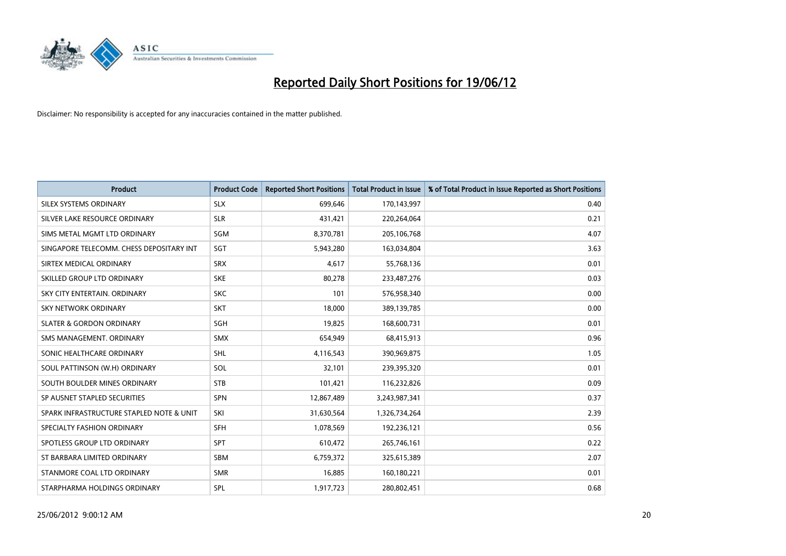

| <b>Product</b>                           | <b>Product Code</b> | <b>Reported Short Positions</b> | <b>Total Product in Issue</b> | % of Total Product in Issue Reported as Short Positions |
|------------------------------------------|---------------------|---------------------------------|-------------------------------|---------------------------------------------------------|
| SILEX SYSTEMS ORDINARY                   | <b>SLX</b>          | 699,646                         | 170,143,997                   | 0.40                                                    |
| SILVER LAKE RESOURCE ORDINARY            | <b>SLR</b>          | 431,421                         | 220,264,064                   | 0.21                                                    |
| SIMS METAL MGMT LTD ORDINARY             | SGM                 | 8,370,781                       | 205,106,768                   | 4.07                                                    |
| SINGAPORE TELECOMM. CHESS DEPOSITARY INT | SGT                 | 5,943,280                       | 163,034,804                   | 3.63                                                    |
| SIRTEX MEDICAL ORDINARY                  | <b>SRX</b>          | 4,617                           | 55,768,136                    | 0.01                                                    |
| SKILLED GROUP LTD ORDINARY               | <b>SKE</b>          | 80,278                          | 233,487,276                   | 0.03                                                    |
| SKY CITY ENTERTAIN, ORDINARY             | <b>SKC</b>          | 101                             | 576,958,340                   | 0.00                                                    |
| SKY NETWORK ORDINARY                     | <b>SKT</b>          | 18,000                          | 389,139,785                   | 0.00                                                    |
| <b>SLATER &amp; GORDON ORDINARY</b>      | SGH                 | 19,825                          | 168,600,731                   | 0.01                                                    |
| SMS MANAGEMENT, ORDINARY                 | <b>SMX</b>          | 654,949                         | 68,415,913                    | 0.96                                                    |
| SONIC HEALTHCARE ORDINARY                | <b>SHL</b>          | 4,116,543                       | 390,969,875                   | 1.05                                                    |
| SOUL PATTINSON (W.H) ORDINARY            | SOL                 | 32,101                          | 239,395,320                   | 0.01                                                    |
| SOUTH BOULDER MINES ORDINARY             | <b>STB</b>          | 101,421                         | 116,232,826                   | 0.09                                                    |
| SP AUSNET STAPLED SECURITIES             | SPN                 | 12,867,489                      | 3,243,987,341                 | 0.37                                                    |
| SPARK INFRASTRUCTURE STAPLED NOTE & UNIT | SKI                 | 31,630,564                      | 1,326,734,264                 | 2.39                                                    |
| SPECIALTY FASHION ORDINARY               | SFH                 | 1,078,569                       | 192,236,121                   | 0.56                                                    |
| SPOTLESS GROUP LTD ORDINARY              | <b>SPT</b>          | 610,472                         | 265,746,161                   | 0.22                                                    |
| ST BARBARA LIMITED ORDINARY              | <b>SBM</b>          | 6,759,372                       | 325,615,389                   | 2.07                                                    |
| STANMORE COAL LTD ORDINARY               | <b>SMR</b>          | 16,885                          | 160,180,221                   | 0.01                                                    |
| STARPHARMA HOLDINGS ORDINARY             | <b>SPL</b>          | 1,917,723                       | 280,802,451                   | 0.68                                                    |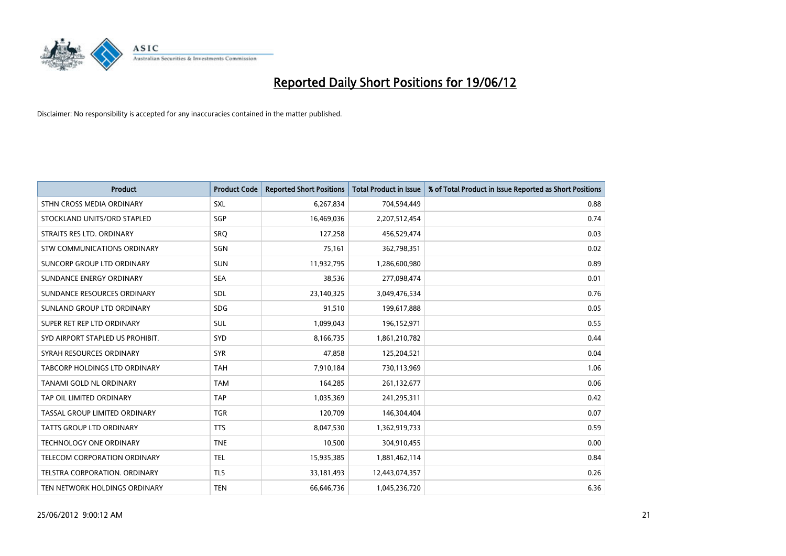

| <b>Product</b>                     | <b>Product Code</b> | <b>Reported Short Positions</b> | <b>Total Product in Issue</b> | % of Total Product in Issue Reported as Short Positions |
|------------------------------------|---------------------|---------------------------------|-------------------------------|---------------------------------------------------------|
| STHN CROSS MEDIA ORDINARY          | <b>SXL</b>          | 6,267,834                       | 704,594,449                   | 0.88                                                    |
| STOCKLAND UNITS/ORD STAPLED        | <b>SGP</b>          | 16,469,036                      | 2,207,512,454                 | 0.74                                                    |
| STRAITS RES LTD. ORDINARY          | SRQ                 | 127,258                         | 456,529,474                   | 0.03                                                    |
| <b>STW COMMUNICATIONS ORDINARY</b> | SGN                 | 75,161                          | 362,798,351                   | 0.02                                                    |
| <b>SUNCORP GROUP LTD ORDINARY</b>  | <b>SUN</b>          | 11,932,795                      | 1,286,600,980                 | 0.89                                                    |
| SUNDANCE ENERGY ORDINARY           | <b>SEA</b>          | 38,536                          | 277,098,474                   | 0.01                                                    |
| SUNDANCE RESOURCES ORDINARY        | SDL                 | 23,140,325                      | 3,049,476,534                 | 0.76                                                    |
| SUNLAND GROUP LTD ORDINARY         | <b>SDG</b>          | 91,510                          | 199,617,888                   | 0.05                                                    |
| SUPER RET REP LTD ORDINARY         | <b>SUL</b>          | 1,099,043                       | 196,152,971                   | 0.55                                                    |
| SYD AIRPORT STAPLED US PROHIBIT.   | SYD                 | 8,166,735                       | 1,861,210,782                 | 0.44                                                    |
| SYRAH RESOURCES ORDINARY           | <b>SYR</b>          | 47,858                          | 125,204,521                   | 0.04                                                    |
| TABCORP HOLDINGS LTD ORDINARY      | <b>TAH</b>          | 7,910,184                       | 730,113,969                   | 1.06                                                    |
| TANAMI GOLD NL ORDINARY            | <b>TAM</b>          | 164.285                         | 261,132,677                   | 0.06                                                    |
| TAP OIL LIMITED ORDINARY           | <b>TAP</b>          | 1,035,369                       | 241,295,311                   | 0.42                                                    |
| TASSAL GROUP LIMITED ORDINARY      | <b>TGR</b>          | 120,709                         | 146,304,404                   | 0.07                                                    |
| <b>TATTS GROUP LTD ORDINARY</b>    | <b>TTS</b>          | 8,047,530                       | 1,362,919,733                 | 0.59                                                    |
| <b>TECHNOLOGY ONE ORDINARY</b>     | <b>TNE</b>          | 10,500                          | 304,910,455                   | 0.00                                                    |
| TELECOM CORPORATION ORDINARY       | <b>TEL</b>          | 15,935,385                      | 1,881,462,114                 | 0.84                                                    |
| TELSTRA CORPORATION, ORDINARY      | <b>TLS</b>          | 33,181,493                      | 12,443,074,357                | 0.26                                                    |
| TEN NETWORK HOLDINGS ORDINARY      | <b>TEN</b>          | 66,646,736                      | 1,045,236,720                 | 6.36                                                    |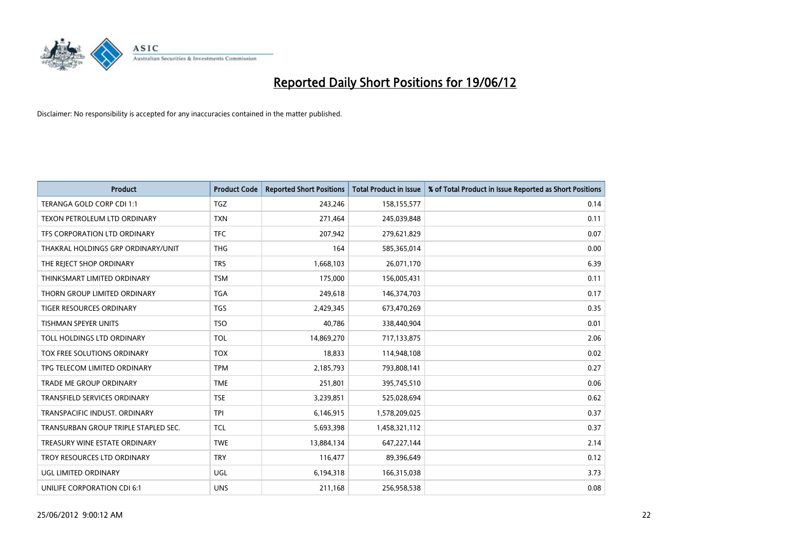

| <b>Product</b>                       | <b>Product Code</b> | <b>Reported Short Positions</b> | <b>Total Product in Issue</b> | % of Total Product in Issue Reported as Short Positions |
|--------------------------------------|---------------------|---------------------------------|-------------------------------|---------------------------------------------------------|
| TERANGA GOLD CORP CDI 1:1            | <b>TGZ</b>          | 243,246                         | 158,155,577                   | 0.14                                                    |
| TEXON PETROLEUM LTD ORDINARY         | <b>TXN</b>          | 271,464                         | 245,039,848                   | 0.11                                                    |
| TFS CORPORATION LTD ORDINARY         | <b>TFC</b>          | 207,942                         | 279,621,829                   | 0.07                                                    |
| THAKRAL HOLDINGS GRP ORDINARY/UNIT   | <b>THG</b>          | 164                             | 585,365,014                   | 0.00                                                    |
| THE REJECT SHOP ORDINARY             | <b>TRS</b>          | 1,668,103                       | 26,071,170                    | 6.39                                                    |
| THINKSMART LIMITED ORDINARY          | <b>TSM</b>          | 175,000                         | 156,005,431                   | 0.11                                                    |
| THORN GROUP LIMITED ORDINARY         | <b>TGA</b>          | 249,618                         | 146,374,703                   | 0.17                                                    |
| TIGER RESOURCES ORDINARY             | <b>TGS</b>          | 2,429,345                       | 673,470,269                   | 0.35                                                    |
| <b>TISHMAN SPEYER UNITS</b>          | <b>TSO</b>          | 40,786                          | 338,440,904                   | 0.01                                                    |
| TOLL HOLDINGS LTD ORDINARY           | <b>TOL</b>          | 14,869,270                      | 717,133,875                   | 2.06                                                    |
| TOX FREE SOLUTIONS ORDINARY          | <b>TOX</b>          | 18,833                          | 114,948,108                   | 0.02                                                    |
| TPG TELECOM LIMITED ORDINARY         | <b>TPM</b>          | 2,185,793                       | 793,808,141                   | 0.27                                                    |
| TRADE ME GROUP ORDINARY              | <b>TME</b>          | 251,801                         | 395,745,510                   | 0.06                                                    |
| <b>TRANSFIELD SERVICES ORDINARY</b>  | <b>TSE</b>          | 3,239,851                       | 525,028,694                   | 0.62                                                    |
| TRANSPACIFIC INDUST, ORDINARY        | <b>TPI</b>          | 6,146,915                       | 1,578,209,025                 | 0.37                                                    |
| TRANSURBAN GROUP TRIPLE STAPLED SEC. | <b>TCL</b>          | 5,693,398                       | 1,458,321,112                 | 0.37                                                    |
| TREASURY WINE ESTATE ORDINARY        | <b>TWE</b>          | 13,884,134                      | 647,227,144                   | 2.14                                                    |
| TROY RESOURCES LTD ORDINARY          | <b>TRY</b>          | 116,477                         | 89,396,649                    | 0.12                                                    |
| UGL LIMITED ORDINARY                 | UGL                 | 6,194,318                       | 166,315,038                   | 3.73                                                    |
| UNILIFE CORPORATION CDI 6:1          | <b>UNS</b>          | 211,168                         | 256,958,538                   | 0.08                                                    |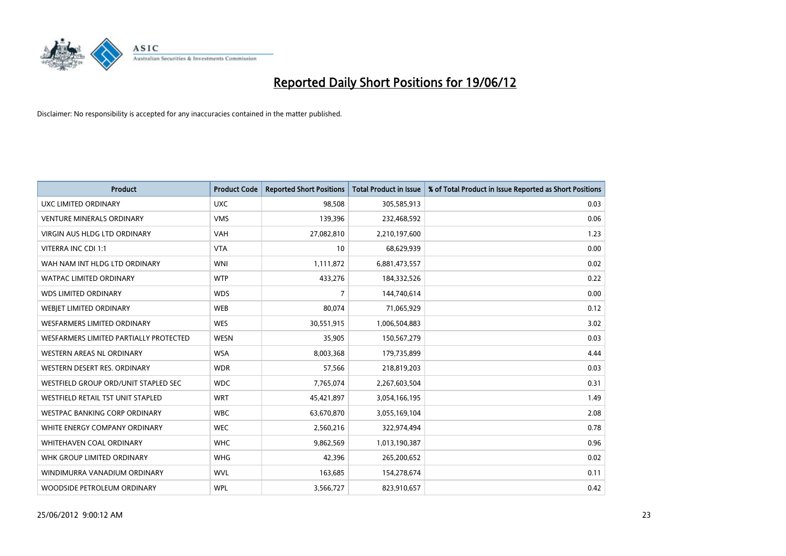

| <b>Product</b>                         | <b>Product Code</b> | <b>Reported Short Positions</b> | <b>Total Product in Issue</b> | % of Total Product in Issue Reported as Short Positions |
|----------------------------------------|---------------------|---------------------------------|-------------------------------|---------------------------------------------------------|
| <b>UXC LIMITED ORDINARY</b>            | <b>UXC</b>          | 98,508                          | 305,585,913                   | 0.03                                                    |
| <b>VENTURE MINERALS ORDINARY</b>       | <b>VMS</b>          | 139,396                         | 232,468,592                   | 0.06                                                    |
| VIRGIN AUS HLDG LTD ORDINARY           | <b>VAH</b>          | 27,082,810                      | 2,210,197,600                 | 1.23                                                    |
| VITERRA INC CDI 1:1                    | <b>VTA</b>          | 10                              | 68,629,939                    | 0.00                                                    |
| WAH NAM INT HLDG LTD ORDINARY          | <b>WNI</b>          | 1,111,872                       | 6,881,473,557                 | 0.02                                                    |
| <b>WATPAC LIMITED ORDINARY</b>         | <b>WTP</b>          | 433,276                         | 184,332,526                   | 0.22                                                    |
| <b>WDS LIMITED ORDINARY</b>            | <b>WDS</b>          | $\overline{7}$                  | 144,740,614                   | 0.00                                                    |
| WEBIET LIMITED ORDINARY                | <b>WEB</b>          | 80,074                          | 71,065,929                    | 0.12                                                    |
| <b>WESFARMERS LIMITED ORDINARY</b>     | <b>WES</b>          | 30,551,915                      | 1,006,504,883                 | 3.02                                                    |
| WESFARMERS LIMITED PARTIALLY PROTECTED | <b>WESN</b>         | 35,905                          | 150,567,279                   | 0.03                                                    |
| WESTERN AREAS NL ORDINARY              | <b>WSA</b>          | 8,003,368                       | 179,735,899                   | 4.44                                                    |
| WESTERN DESERT RES. ORDINARY           | <b>WDR</b>          | 57,566                          | 218,819,203                   | 0.03                                                    |
| WESTFIELD GROUP ORD/UNIT STAPLED SEC   | <b>WDC</b>          | 7,765,074                       | 2,267,603,504                 | 0.31                                                    |
| WESTFIELD RETAIL TST UNIT STAPLED      | <b>WRT</b>          | 45,421,897                      | 3,054,166,195                 | 1.49                                                    |
| <b>WESTPAC BANKING CORP ORDINARY</b>   | <b>WBC</b>          | 63,670,870                      | 3,055,169,104                 | 2.08                                                    |
| WHITE ENERGY COMPANY ORDINARY          | <b>WEC</b>          | 2,560,216                       | 322,974,494                   | 0.78                                                    |
| <b>WHITEHAVEN COAL ORDINARY</b>        | <b>WHC</b>          | 9,862,569                       | 1,013,190,387                 | 0.96                                                    |
| WHK GROUP LIMITED ORDINARY             | <b>WHG</b>          | 42,396                          | 265,200,652                   | 0.02                                                    |
| WINDIMURRA VANADIUM ORDINARY           | <b>WVL</b>          | 163,685                         | 154,278,674                   | 0.11                                                    |
| WOODSIDE PETROLEUM ORDINARY            | <b>WPL</b>          | 3,566,727                       | 823,910,657                   | 0.42                                                    |